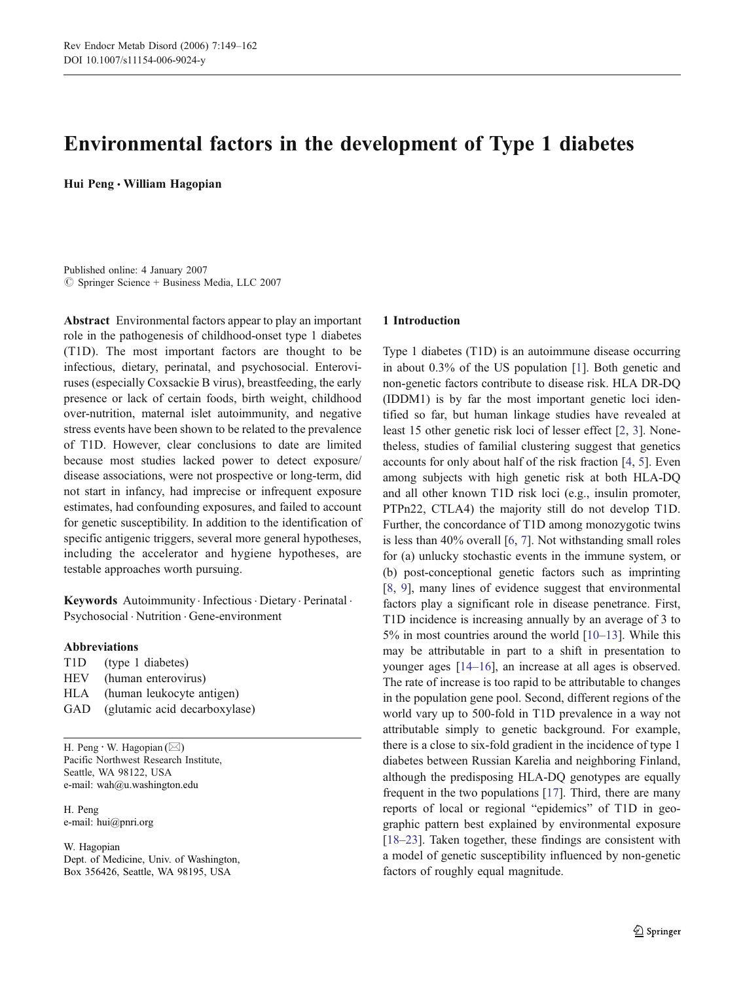# Environmental factors in the development of Type 1 diabetes

Hui Peng · William Hagopian

Published online: 4 January 2007  $\circledcirc$  Springer Science + Business Media, LLC 2007

Abstract Environmental factors appear to play an important role in the pathogenesis of childhood-onset type 1 diabetes (T1D). The most important factors are thought to be infectious, dietary, perinatal, and psychosocial. Enteroviruses (especially Coxsackie B virus), breastfeeding, the early presence or lack of certain foods, birth weight, childhood over-nutrition, maternal islet autoimmunity, and negative stress events have been shown to be related to the prevalence of T1D. However, clear conclusions to date are limited because most studies lacked power to detect exposure/ disease associations, were not prospective or long-term, did not start in infancy, had imprecise or infrequent exposure estimates, had confounding exposures, and failed to account for genetic susceptibility. In addition to the identification of specific antigenic triggers, several more general hypotheses, including the accelerator and hygiene hypotheses, are testable approaches worth pursuing.

Keywords Autoimmunity . Infectious. Dietary . Perinatal . Psychosocial . Nutrition . Gene-environment

### Abbreviations

| T1D        | (type 1 diabetes)             |
|------------|-------------------------------|
| <b>HEV</b> | (human enterovirus)           |
| HLA        | (human leukocyte antigen)     |
| GAD        | (glutamic acid decarboxylase) |
|            |                               |

H. Peng · W. Hagopian ( $\boxtimes$ ) Pacific Northwest Research Institute, Seattle, WA 98122, USA e-mail: wah@u.washington.edu

H. Peng e-mail: hui@pnri.org

W. Hagopian Dept. of Medicine, Univ. of Washington, Box 356426, Seattle, WA 98195, USA

#### 1 Introduction

Type 1 diabetes (T1D) is an autoimmune disease occurring in about 0.3% of the US population [[1\]](#page-7-0). Both genetic and non-genetic factors contribute to disease risk. HLA DR-DQ (IDDM1) is by far the most important genetic loci identified so far, but human linkage studies have revealed at least 15 other genetic risk loci of lesser effect [\[2](#page-7-0), [3\]](#page-7-0). Nonetheless, studies of familial clustering suggest that genetics accounts for only about half of the risk fraction [\[4](#page-7-0), [5](#page-7-0)]. Even among subjects with high genetic risk at both HLA-DQ and all other known T1D risk loci (e.g., insulin promoter, PTPn22, CTLA4) the majority still do not develop T1D. Further, the concordance of T1D among monozygotic twins is less than 40% overall [\[6](#page-7-0), [7\]](#page-7-0). Not withstanding small roles for (a) unlucky stochastic events in the immune system, or (b) post-conceptional genetic factors such as imprinting [\[8](#page-7-0), [9\]](#page-7-0), many lines of evidence suggest that environmental factors play a significant role in disease penetrance. First, T1D incidence is increasing annually by an average of 3 to 5% in most countries around the world [\[10](#page-7-0)–[13](#page-7-0)]. While this may be attributable in part to a shift in presentation to younger ages [[14](#page-7-0)–[16\]](#page-7-0), an increase at all ages is observed. The rate of increase is too rapid to be attributable to changes in the population gene pool. Second, different regions of the world vary up to 500-fold in T1D prevalence in a way not attributable simply to genetic background. For example, there is a close to six-fold gradient in the incidence of type 1 diabetes between Russian Karelia and neighboring Finland, although the predisposing HLA-DQ genotypes are equally frequent in the two populations [[17\]](#page-7-0). Third, there are many reports of local or regional "epidemics" of T1D in geographic pattern best explained by environmental exposure [\[18](#page-7-0)–[23](#page-8-0)]. Taken together, these findings are consistent with a model of genetic susceptibility influenced by non-genetic factors of roughly equal magnitude.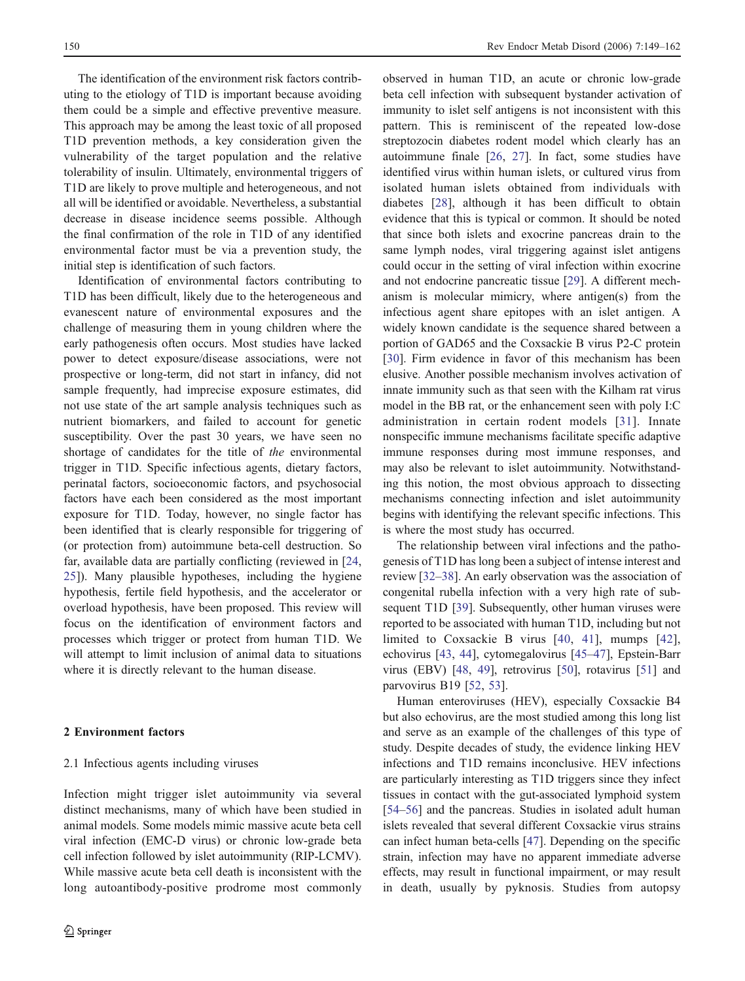The identification of the environment risk factors contributing to the etiology of T1D is important because avoiding them could be a simple and effective preventive measure. This approach may be among the least toxic of all proposed T1D prevention methods, a key consideration given the vulnerability of the target population and the relative tolerability of insulin. Ultimately, environmental triggers of T1D are likely to prove multiple and heterogeneous, and not all will be identified or avoidable. Nevertheless, a substantial decrease in disease incidence seems possible. Although the final confirmation of the role in T1D of any identified environmental factor must be via a prevention study, the initial step is identification of such factors.

Identification of environmental factors contributing to T1D has been difficult, likely due to the heterogeneous and evanescent nature of environmental exposures and the challenge of measuring them in young children where the early pathogenesis often occurs. Most studies have lacked power to detect exposure/disease associations, were not prospective or long-term, did not start in infancy, did not sample frequently, had imprecise exposure estimates, did not use state of the art sample analysis techniques such as nutrient biomarkers, and failed to account for genetic susceptibility. Over the past 30 years, we have seen no shortage of candidates for the title of the environmental trigger in T1D. Specific infectious agents, dietary factors, perinatal factors, socioeconomic factors, and psychosocial factors have each been considered as the most important exposure for T1D. Today, however, no single factor has been identified that is clearly responsible for triggering of (or protection from) autoimmune beta-cell destruction. So far, available data are partially conflicting (reviewed in [[24,](#page-8-0) [25](#page-8-0)]). Many plausible hypotheses, including the hygiene hypothesis, fertile field hypothesis, and the accelerator or overload hypothesis, have been proposed. This review will focus on the identification of environment factors and processes which trigger or protect from human T1D. We will attempt to limit inclusion of animal data to situations where it is directly relevant to the human disease.

## 2 Environment factors

## 2.1 Infectious agents including viruses

Infection might trigger islet autoimmunity via several distinct mechanisms, many of which have been studied in animal models. Some models mimic massive acute beta cell viral infection (EMC-D virus) or chronic low-grade beta cell infection followed by islet autoimmunity (RIP-LCMV). While massive acute beta cell death is inconsistent with the long autoantibody-positive prodrome most commonly observed in human T1D, an acute or chronic low-grade beta cell infection with subsequent bystander activation of immunity to islet self antigens is not inconsistent with this pattern. This is reminiscent of the repeated low-dose streptozocin diabetes rodent model which clearly has an autoimmune finale [[26,](#page-8-0) [27\]](#page-8-0). In fact, some studies have identified virus within human islets, or cultured virus from isolated human islets obtained from individuals with diabetes [\[28](#page-8-0)], although it has been difficult to obtain evidence that this is typical or common. It should be noted that since both islets and exocrine pancreas drain to the same lymph nodes, viral triggering against islet antigens could occur in the setting of viral infection within exocrine and not endocrine pancreatic tissue [[29\]](#page-8-0). A different mechanism is molecular mimicry, where antigen(s) from the infectious agent share epitopes with an islet antigen. A widely known candidate is the sequence shared between a portion of GAD65 and the Coxsackie B virus P2-C protein [\[30](#page-8-0)]. Firm evidence in favor of this mechanism has been elusive. Another possible mechanism involves activation of innate immunity such as that seen with the Kilham rat virus model in the BB rat, or the enhancement seen with poly I:C administration in certain rodent models [\[31\]](#page-8-0). Innate nonspecific immune mechanisms facilitate specific adaptive immune responses during most immune responses, and may also be relevant to islet autoimmunity. Notwithstanding this notion, the most obvious approach to dissecting mechanisms connecting infection and islet autoimmunity begins with identifying the relevant specific infections. This is where the most study has occurred.

The relationship between viral infections and the pathogenesis of T1D has long been a subject of intense interest and review [\[32](#page-8-0)–[38](#page-8-0)]. An early observation was the association of congenital rubella infection with a very high rate of sub-sequent T1D [[39\]](#page-8-0). Subsequently, other human viruses were reported to be associated with human T1D, including but not limited to Coxsackie B virus [[40](#page-8-0), [41\]](#page-8-0), mumps [[42](#page-8-0)], echovirus [\[43](#page-8-0), [44\]](#page-8-0), cytomegalovirus [[45](#page-8-0)–[47\]](#page-8-0), Epstein-Barr virus (EBV) [[48,](#page-8-0) [49\]](#page-8-0), retrovirus [[50\]](#page-8-0), rotavirus [[51\]](#page-8-0) and parvovirus B19 [[52,](#page-8-0) [53\]](#page-8-0).

Human enteroviruses (HEV), especially Coxsackie B4 but also echovirus, are the most studied among this long list and serve as an example of the challenges of this type of study. Despite decades of study, the evidence linking HEV infections and T1D remains inconclusive. HEV infections are particularly interesting as T1D triggers since they infect tissues in contact with the gut-associated lymphoid system [\[54](#page-8-0)–[56](#page-8-0)] and the pancreas. Studies in isolated adult human islets revealed that several different Coxsackie virus strains can infect human beta-cells [\[47](#page-8-0)]. Depending on the specific strain, infection may have no apparent immediate adverse effects, may result in functional impairment, or may result in death, usually by pyknosis. Studies from autopsy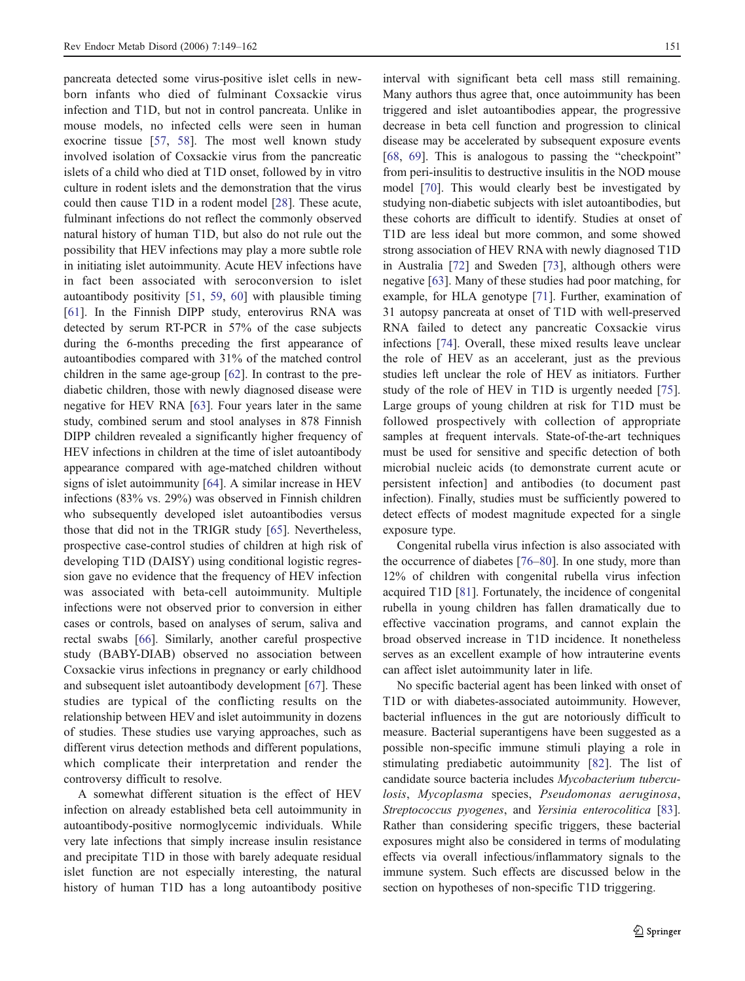pancreata detected some virus-positive islet cells in newborn infants who died of fulminant Coxsackie virus infection and T1D, but not in control pancreata. Unlike in mouse models, no infected cells were seen in human exocrine tissue [\[57](#page-8-0), [58\]](#page-8-0). The most well known study involved isolation of Coxsackie virus from the pancreatic islets of a child who died at T1D onset, followed by in vitro culture in rodent islets and the demonstration that the virus could then cause T1D in a rodent model [\[28](#page-8-0)]. These acute, fulminant infections do not reflect the commonly observed natural history of human T1D, but also do not rule out the possibility that HEV infections may play a more subtle role in initiating islet autoimmunity. Acute HEV infections have in fact been associated with seroconversion to islet autoantibody positivity [[51,](#page-8-0) [59](#page-8-0), [60\]](#page-9-0) with plausible timing [\[61](#page-9-0)]. In the Finnish DIPP study, enterovirus RNA was detected by serum RT-PCR in 57% of the case subjects during the 6-months preceding the first appearance of autoantibodies compared with 31% of the matched control children in the same age-group [[62\]](#page-9-0). In contrast to the prediabetic children, those with newly diagnosed disease were negative for HEV RNA [[63\]](#page-9-0). Four years later in the same study, combined serum and stool analyses in 878 Finnish DIPP children revealed a significantly higher frequency of HEV infections in children at the time of islet autoantibody appearance compared with age-matched children without signs of islet autoimmunity [\[64](#page-9-0)]. A similar increase in HEV infections (83% vs. 29%) was observed in Finnish children who subsequently developed islet autoantibodies versus those that did not in the TRIGR study [\[65](#page-9-0)]. Nevertheless, prospective case-control studies of children at high risk of developing T1D (DAISY) using conditional logistic regression gave no evidence that the frequency of HEV infection was associated with beta-cell autoimmunity. Multiple infections were not observed prior to conversion in either cases or controls, based on analyses of serum, saliva and rectal swabs [[66\]](#page-9-0). Similarly, another careful prospective study (BABY-DIAB) observed no association between Coxsackie virus infections in pregnancy or early childhood and subsequent islet autoantibody development [[67\]](#page-9-0). These studies are typical of the conflicting results on the relationship between HEV and islet autoimmunity in dozens of studies. These studies use varying approaches, such as different virus detection methods and different populations, which complicate their interpretation and render the controversy difficult to resolve.

A somewhat different situation is the effect of HEV infection on already established beta cell autoimmunity in autoantibody-positive normoglycemic individuals. While very late infections that simply increase insulin resistance and precipitate T1D in those with barely adequate residual islet function are not especially interesting, the natural history of human T1D has a long autoantibody positive interval with significant beta cell mass still remaining. Many authors thus agree that, once autoimmunity has been triggered and islet autoantibodies appear, the progressive decrease in beta cell function and progression to clinical disease may be accelerated by subsequent exposure events [\[68](#page-9-0), [69\]](#page-9-0). This is analogous to passing the "checkpoint" from peri-insulitis to destructive insulitis in the NOD mouse model [\[70](#page-9-0)]. This would clearly best be investigated by studying non-diabetic subjects with islet autoantibodies, but these cohorts are difficult to identify. Studies at onset of T1D are less ideal but more common, and some showed strong association of HEV RNA with newly diagnosed T1D in Australia [[72\]](#page-9-0) and Sweden [\[73](#page-9-0)], although others were negative [\[63](#page-9-0)]. Many of these studies had poor matching, for example, for HLA genotype [[71\]](#page-9-0). Further, examination of 31 autopsy pancreata at onset of T1D with well-preserved RNA failed to detect any pancreatic Coxsackie virus infections [\[74](#page-9-0)]. Overall, these mixed results leave unclear the role of HEV as an accelerant, just as the previous studies left unclear the role of HEV as initiators. Further study of the role of HEV in T1D is urgently needed [[75\]](#page-9-0). Large groups of young children at risk for T1D must be followed prospectively with collection of appropriate samples at frequent intervals. State-of-the-art techniques must be used for sensitive and specific detection of both microbial nucleic acids (to demonstrate current acute or persistent infection] and antibodies (to document past infection). Finally, studies must be sufficiently powered to detect effects of modest magnitude expected for a single exposure type.

Congenital rubella virus infection is also associated with the occurrence of diabetes [\[76](#page-9-0)–[80](#page-9-0)]. In one study, more than 12% of children with congenital rubella virus infection acquired T1D [\[81](#page-9-0)]. Fortunately, the incidence of congenital rubella in young children has fallen dramatically due to effective vaccination programs, and cannot explain the broad observed increase in T1D incidence. It nonetheless serves as an excellent example of how intrauterine events can affect islet autoimmunity later in life.

No specific bacterial agent has been linked with onset of T1D or with diabetes-associated autoimmunity. However, bacterial influences in the gut are notoriously difficult to measure. Bacterial superantigens have been suggested as a possible non-specific immune stimuli playing a role in stimulating prediabetic autoimmunity [\[82\]](#page-9-0). The list of candidate source bacteria includes Mycobacterium tuberculosis, Mycoplasma species, Pseudomonas aeruginosa, Streptococcus pyogenes, and Yersinia enterocolitica [[83\]](#page-9-0). Rather than considering specific triggers, these bacterial exposures might also be considered in terms of modulating effects via overall infectious/inflammatory signals to the immune system. Such effects are discussed below in the section on hypotheses of non-specific T1D triggering.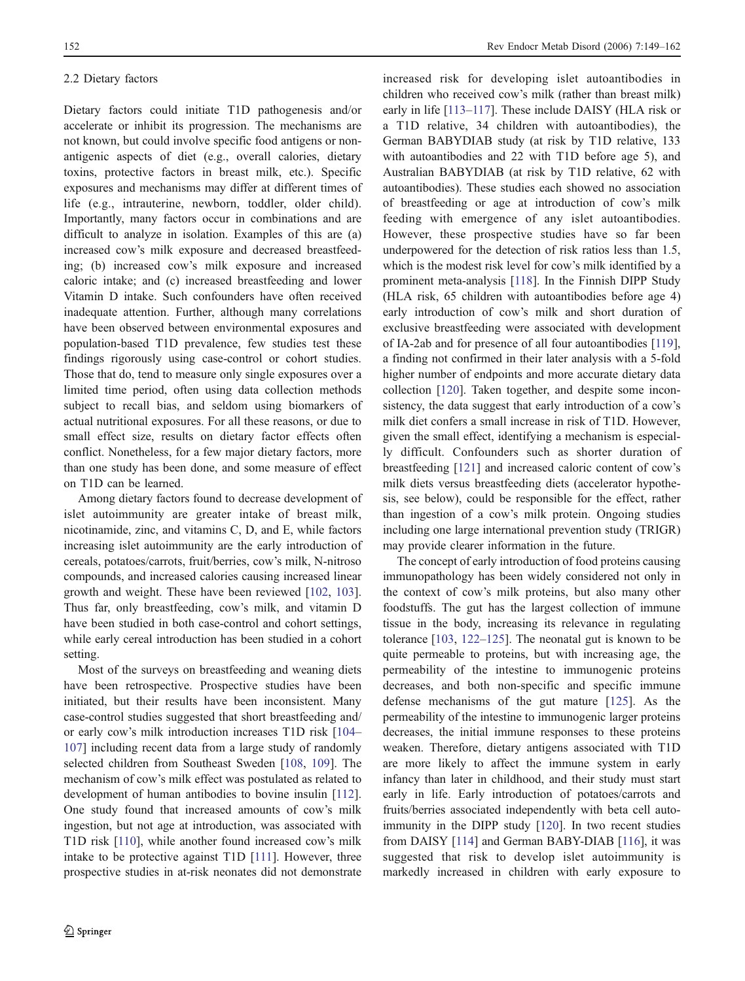## 2.2 Dietary factors

Dietary factors could initiate T1D pathogenesis and/or accelerate or inhibit its progression. The mechanisms are not known, but could involve specific food antigens or nonantigenic aspects of diet (e.g., overall calories, dietary toxins, protective factors in breast milk, etc.). Specific exposures and mechanisms may differ at different times of life (e.g., intrauterine, newborn, toddler, older child). Importantly, many factors occur in combinations and are difficult to analyze in isolation. Examples of this are (a) increased cow's milk exposure and decreased breastfeeding; (b) increased cow's milk exposure and increased caloric intake; and (c) increased breastfeeding and lower Vitamin D intake. Such confounders have often received inadequate attention. Further, although many correlations have been observed between environmental exposures and population-based T1D prevalence, few studies test these findings rigorously using case-control or cohort studies. Those that do, tend to measure only single exposures over a limited time period, often using data collection methods subject to recall bias, and seldom using biomarkers of actual nutritional exposures. For all these reasons, or due to small effect size, results on dietary factor effects often conflict. Nonetheless, for a few major dietary factors, more than one study has been done, and some measure of effect on T1D can be learned.

Among dietary factors found to decrease development of islet autoimmunity are greater intake of breast milk, nicotinamide, zinc, and vitamins C, D, and E, while factors increasing islet autoimmunity are the early introduction of cereals, potatoes/carrots, fruit/berries, cow's milk, N-nitroso compounds, and increased calories causing increased linear growth and weight. These have been reviewed [[102](#page-10-0), [103](#page-10-0)]. Thus far, only breastfeeding, cow's milk, and vitamin D have been studied in both case-control and cohort settings, while early cereal introduction has been studied in a cohort setting.

Most of the surveys on breastfeeding and weaning diets have been retrospective. Prospective studies have been initiated, but their results have been inconsistent. Many case-control studies suggested that short breastfeeding and/ or early cow's milk introduction increases T1D risk [\[104](#page-10-0)– [107\]](#page-10-0) including recent data from a large study of randomly selected children from Southeast Sweden [[108](#page-10-0), [109\]](#page-10-0). The mechanism of cow's milk effect was postulated as related to development of human antibodies to bovine insulin [[112](#page-10-0)]. One study found that increased amounts of cow's milk ingestion, but not age at introduction, was associated with T1D risk [\[110\]](#page-10-0), while another found increased cow's milk intake to be protective against T1D [\[111\]](#page-10-0). However, three prospective studies in at-risk neonates did not demonstrate increased risk for developing islet autoantibodies in children who received cow's milk (rather than breast milk) early in life [[113](#page-10-0)–[117](#page-10-0)]. These include DAISY (HLA risk or a T1D relative, 34 children with autoantibodies), the German BABYDIAB study (at risk by T1D relative, 133 with autoantibodies and 22 with T1D before age 5), and Australian BABYDIAB (at risk by T1D relative, 62 with autoantibodies). These studies each showed no association of breastfeeding or age at introduction of cow's milk feeding with emergence of any islet autoantibodies. However, these prospective studies have so far been underpowered for the detection of risk ratios less than 1.5, which is the modest risk level for cow's milk identified by a prominent meta-analysis [\[118\]](#page-10-0). In the Finnish DIPP Study (HLA risk, 65 children with autoantibodies before age 4) early introduction of cow's milk and short duration of exclusive breastfeeding were associated with development of IA-2ab and for presence of all four autoantibodies [[119\]](#page-10-0), a finding not confirmed in their later analysis with a 5-fold higher number of endpoints and more accurate dietary data collection [\[120](#page-10-0)]. Taken together, and despite some inconsistency, the data suggest that early introduction of a cow's milk diet confers a small increase in risk of T1D. However, given the small effect, identifying a mechanism is especially difficult. Confounders such as shorter duration of breastfeeding [\[121](#page-10-0)] and increased caloric content of cow's milk diets versus breastfeeding diets (accelerator hypothesis, see below), could be responsible for the effect, rather than ingestion of a cow's milk protein. Ongoing studies including one large international prevention study (TRIGR) may provide clearer information in the future.

The concept of early introduction of food proteins causing immunopathology has been widely considered not only in the context of cow's milk proteins, but also many other foodstuffs. The gut has the largest collection of immune tissue in the body, increasing its relevance in regulating tolerance [\[103](#page-10-0), [122](#page-10-0)–[125\]](#page-10-0). The neonatal gut is known to be quite permeable to proteins, but with increasing age, the permeability of the intestine to immunogenic proteins decreases, and both non-specific and specific immune defense mechanisms of the gut mature [[125\]](#page-10-0). As the permeability of the intestine to immunogenic larger proteins decreases, the initial immune responses to these proteins weaken. Therefore, dietary antigens associated with T1D are more likely to affect the immune system in early infancy than later in childhood, and their study must start early in life. Early introduction of potatoes/carrots and fruits/berries associated independently with beta cell autoimmunity in the DIPP study [[120\]](#page-10-0). In two recent studies from DAISY [\[114](#page-10-0)] and German BABY-DIAB [\[116\]](#page-10-0), it was suggested that risk to develop islet autoimmunity is markedly increased in children with early exposure to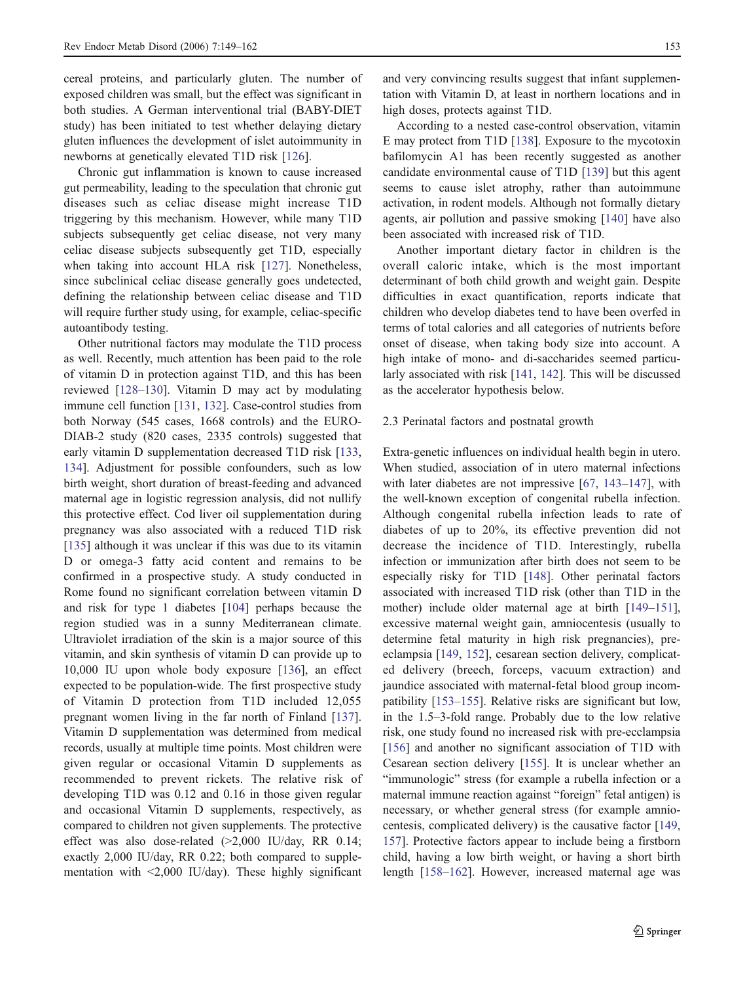cereal proteins, and particularly gluten. The number of exposed children was small, but the effect was significant in both studies. A German interventional trial (BABY-DIET study) has been initiated to test whether delaying dietary gluten influences the development of islet autoimmunity in newborns at genetically elevated T1D risk [[126\]](#page-10-0).

Chronic gut inflammation is known to cause increased gut permeability, leading to the speculation that chronic gut diseases such as celiac disease might increase T1D triggering by this mechanism. However, while many T1D subjects subsequently get celiac disease, not very many celiac disease subjects subsequently get T1D, especially when taking into account HLA risk [\[127](#page-10-0)]. Nonetheless, since subclinical celiac disease generally goes undetected, defining the relationship between celiac disease and T1D will require further study using, for example, celiac-specific autoantibody testing.

Other nutritional factors may modulate the T1D process as well. Recently, much attention has been paid to the role of vitamin D in protection against T1D, and this has been reviewed [\[128](#page-10-0)–[130](#page-10-0)]. Vitamin D may act by modulating immune cell function [\[131](#page-10-0), [132\]](#page-10-0). Case-control studies from both Norway (545 cases, 1668 controls) and the EURO-DIAB-2 study (820 cases, 2335 controls) suggested that early vitamin D supplementation decreased T1D risk [[133,](#page-10-0) [134\]](#page-11-0). Adjustment for possible confounders, such as low birth weight, short duration of breast-feeding and advanced maternal age in logistic regression analysis, did not nullify this protective effect. Cod liver oil supplementation during pregnancy was also associated with a reduced T1D risk [\[135](#page-11-0)] although it was unclear if this was due to its vitamin D or omega-3 fatty acid content and remains to be confirmed in a prospective study. A study conducted in Rome found no significant correlation between vitamin D and risk for type 1 diabetes [[104\]](#page-10-0) perhaps because the region studied was in a sunny Mediterranean climate. Ultraviolet irradiation of the skin is a major source of this vitamin, and skin synthesis of vitamin D can provide up to 10,000 IU upon whole body exposure [[136\]](#page-11-0), an effect expected to be population-wide. The first prospective study of Vitamin D protection from T1D included 12,055 pregnant women living in the far north of Finland [\[137](#page-11-0)]. Vitamin D supplementation was determined from medical records, usually at multiple time points. Most children were given regular or occasional Vitamin D supplements as recommended to prevent rickets. The relative risk of developing T1D was 0.12 and 0.16 in those given regular and occasional Vitamin D supplements, respectively, as compared to children not given supplements. The protective effect was also dose-related  $(>2,000)$  IU/day, RR 0.14; exactly 2,000 IU/day, RR 0.22; both compared to supplementation with <2,000 IU/day). These highly significant

and very convincing results suggest that infant supplementation with Vitamin D, at least in northern locations and in high doses, protects against T1D.

According to a nested case-control observation, vitamin E may protect from T1D [\[138](#page-11-0)]. Exposure to the mycotoxin bafilomycin A1 has been recently suggested as another candidate environmental cause of T1D [\[139](#page-11-0)] but this agent seems to cause islet atrophy, rather than autoimmune activation, in rodent models. Although not formally dietary agents, air pollution and passive smoking [[140\]](#page-11-0) have also been associated with increased risk of T1D.

Another important dietary factor in children is the overall caloric intake, which is the most important determinant of both child growth and weight gain. Despite difficulties in exact quantification, reports indicate that children who develop diabetes tend to have been overfed in terms of total calories and all categories of nutrients before onset of disease, when taking body size into account. A high intake of mono- and di-saccharides seemed particularly associated with risk [[141,](#page-11-0) [142\]](#page-11-0). This will be discussed as the accelerator hypothesis below.

#### 2.3 Perinatal factors and postnatal growth

Extra-genetic influences on individual health begin in utero. When studied, association of in utero maternal infections with later diabetes are not impressive [\[67](#page-9-0), [143](#page-11-0)–[147](#page-11-0)], with the well-known exception of congenital rubella infection. Although congenital rubella infection leads to rate of diabetes of up to 20%, its effective prevention did not decrease the incidence of T1D. Interestingly, rubella infection or immunization after birth does not seem to be especially risky for T1D [\[148](#page-11-0)]. Other perinatal factors associated with increased T1D risk (other than T1D in the mother) include older maternal age at birth [[149](#page-11-0)–[151\]](#page-11-0), excessive maternal weight gain, amniocentesis (usually to determine fetal maturity in high risk pregnancies), preeclampsia [[149,](#page-11-0) [152\]](#page-11-0), cesarean section delivery, complicated delivery (breech, forceps, vacuum extraction) and jaundice associated with maternal-fetal blood group incompatibility [\[153](#page-11-0)–[155](#page-11-0)]. Relative risks are significant but low, in the 1.5–3-fold range. Probably due to the low relative risk, one study found no increased risk with pre-ecclampsia [\[156](#page-11-0)] and another no significant association of T1D with Cesarean section delivery [[155\]](#page-11-0). It is unclear whether an "immunologic" stress (for example a rubella infection or a maternal immune reaction against "foreign" fetal antigen) is necessary, or whether general stress (for example amniocentesis, complicated delivery) is the causative factor [[149,](#page-11-0) [157](#page-11-0)]. Protective factors appear to include being a firstborn child, having a low birth weight, or having a short birth length [\[158](#page-11-0)–[162](#page-11-0)]. However, increased maternal age was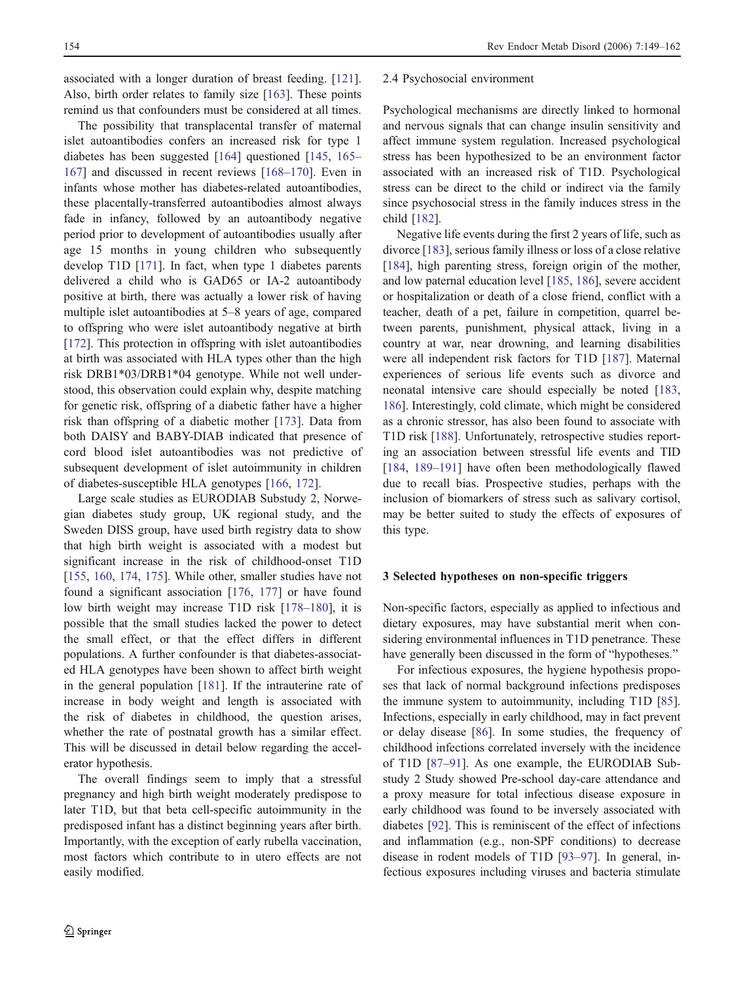associated with a longer duration of breast feeding. [\[121](#page-10-0)]. Also, birth order relates to family size [[163\]](#page-11-0). These points remind us that confounders must be considered at all times.

The possibility that transplacental transfer of maternal islet autoantibodies confers an increased risk for type 1 diabetes has been suggested [[164\]](#page-11-0) questioned [\[145](#page-11-0), [165](#page-11-0)– [167\]](#page-11-0) and discussed in recent reviews [\[168](#page-11-0)–[170](#page-11-0)]. Even in infants whose mother has diabetes-related autoantibodies, these placentally-transferred autoantibodies almost always fade in infancy, followed by an autoantibody negative period prior to development of autoantibodies usually after age 15 months in young children who subsequently develop T1D [[171\]](#page-11-0). In fact, when type 1 diabetes parents delivered a child who is GAD65 or IA-2 autoantibody positive at birth, there was actually a lower risk of having multiple islet autoantibodies at 5–8 years of age, compared to offspring who were islet autoantibody negative at birth [\[172](#page-12-0)]. This protection in offspring with islet autoantibodies at birth was associated with HLA types other than the high risk DRB1\*03/DRB1\*04 genotype. While not well understood, this observation could explain why, despite matching for genetic risk, offspring of a diabetic father have a higher risk than offspring of a diabetic mother [[173](#page-12-0)]. Data from both DAISY and BABY-DIAB indicated that presence of cord blood islet autoantibodies was not predictive of subsequent development of islet autoimmunity in children of diabetes-susceptible HLA genotypes [[166,](#page-11-0) [172](#page-12-0)].

Large scale studies as EURODIAB Substudy 2, Norwegian diabetes study group, UK regional study, and the Sweden DISS group, have used birth registry data to show that high birth weight is associated with a modest but significant increase in the risk of childhood-onset T1D [\[155](#page-11-0), [160,](#page-11-0) [174](#page-12-0), [175\]](#page-12-0). While other, smaller studies have not found a significant association [\[176](#page-12-0), [177](#page-12-0)] or have found low birth weight may increase T1D risk [[178](#page-12-0)–[180\]](#page-12-0), it is possible that the small studies lacked the power to detect the small effect, or that the effect differs in different populations. A further confounder is that diabetes-associated HLA genotypes have been shown to affect birth weight in the general population [[181\]](#page-12-0). If the intrauterine rate of increase in body weight and length is associated with the risk of diabetes in childhood, the question arises, whether the rate of postnatal growth has a similar effect. This will be discussed in detail below regarding the accelerator hypothesis.

The overall findings seem to imply that a stressful pregnancy and high birth weight moderately predispose to later T1D, but that beta cell-specific autoimmunity in the predisposed infant has a distinct beginning years after birth. Importantly, with the exception of early rubella vaccination, most factors which contribute to in utero effects are not easily modified.

#### 2.4 Psychosocial environment

Psychological mechanisms are directly linked to hormonal and nervous signals that can change insulin sensitivity and affect immune system regulation. Increased psychological stress has been hypothesized to be an environment factor associated with an increased risk of T1D. Psychological stress can be direct to the child or indirect via the family since psychosocial stress in the family induces stress in the child [\[182](#page-12-0)].

Negative life events during the first 2 years of life, such as divorce [[183\]](#page-12-0), serious family illness or loss of a close relative [\[184](#page-12-0)], high parenting stress, foreign origin of the mother, and low paternal education level [[185](#page-12-0), [186](#page-12-0)], severe accident or hospitalization or death of a close friend, conflict with a teacher, death of a pet, failure in competition, quarrel between parents, punishment, physical attack, living in a country at war, near drowning, and learning disabilities were all independent risk factors for T1D [[187\]](#page-12-0). Maternal experiences of serious life events such as divorce and neonatal intensive care should especially be noted [[183,](#page-12-0) [186](#page-12-0)]. Interestingly, cold climate, which might be considered as a chronic stressor, has also been found to associate with T1D risk [[188\]](#page-12-0). Unfortunately, retrospective studies reporting an association between stressful life events and TID [\[184](#page-12-0), [189](#page-12-0)–[191](#page-12-0)] have often been methodologically flawed due to recall bias. Prospective studies, perhaps with the inclusion of biomarkers of stress such as salivary cortisol, may be better suited to study the effects of exposures of this type.

#### 3 Selected hypotheses on non-specific triggers

Non-specific factors, especially as applied to infectious and dietary exposures, may have substantial merit when considering environmental influences in T1D penetrance. These have generally been discussed in the form of "hypotheses."

For infectious exposures, the hygiene hypothesis proposes that lack of normal background infections predisposes the immune system to autoimmunity, including T1D [[85\]](#page-9-0). Infections, especially in early childhood, may in fact prevent or delay disease [\[86](#page-9-0)]. In some studies, the frequency of childhood infections correlated inversely with the incidence of T1D [\[87](#page-9-0)–[91](#page-9-0)]. As one example, the EURODIAB Substudy 2 Study showed Pre-school day-care attendance and a proxy measure for total infectious disease exposure in early childhood was found to be inversely associated with diabetes [\[92](#page-9-0)]. This is reminiscent of the effect of infections and inflammation (e.g., non-SPF conditions) to decrease disease in rodent models of T1D [\[93](#page-9-0)–[97](#page-9-0)]. In general, infectious exposures including viruses and bacteria stimulate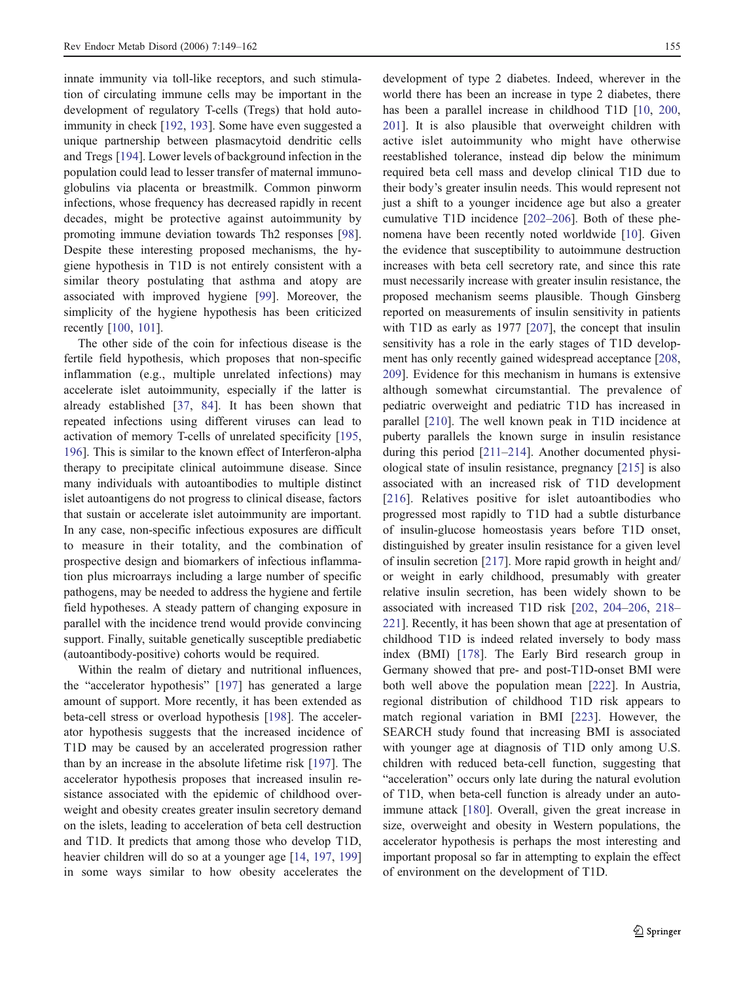innate immunity via toll-like receptors, and such stimulation of circulating immune cells may be important in the development of regulatory T-cells (Tregs) that hold autoimmunity in check [[192](#page-12-0), [193\]](#page-12-0). Some have even suggested a unique partnership between plasmacytoid dendritic cells and Tregs [[194\]](#page-12-0). Lower levels of background infection in the population could lead to lesser transfer of maternal immunoglobulins via placenta or breastmilk. Common pinworm infections, whose frequency has decreased rapidly in recent decades, might be protective against autoimmunity by promoting immune deviation towards Th2 responses [\[98](#page-10-0)]. Despite these interesting proposed mechanisms, the hygiene hypothesis in T1D is not entirely consistent with a similar theory postulating that asthma and atopy are associated with improved hygiene [\[99](#page-10-0)]. Moreover, the simplicity of the hygiene hypothesis has been criticized recently [\[100](#page-10-0), [101\]](#page-10-0).

The other side of the coin for infectious disease is the fertile field hypothesis, which proposes that non-specific inflammation (e.g., multiple unrelated infections) may accelerate islet autoimmunity, especially if the latter is already established [[37,](#page-8-0) [84](#page-9-0)]. It has been shown that repeated infections using different viruses can lead to activation of memory T-cells of unrelated specificity [[195,](#page-12-0) [196\]](#page-12-0). This is similar to the known effect of Interferon-alpha therapy to precipitate clinical autoimmune disease. Since many individuals with autoantibodies to multiple distinct islet autoantigens do not progress to clinical disease, factors that sustain or accelerate islet autoimmunity are important. In any case, non-specific infectious exposures are difficult to measure in their totality, and the combination of prospective design and biomarkers of infectious inflammation plus microarrays including a large number of specific pathogens, may be needed to address the hygiene and fertile field hypotheses. A steady pattern of changing exposure in parallel with the incidence trend would provide convincing support. Finally, suitable genetically susceptible prediabetic (autoantibody-positive) cohorts would be required.

Within the realm of dietary and nutritional influences, the "accelerator hypothesis" [\[197](#page-12-0)] has generated a large amount of support. More recently, it has been extended as beta-cell stress or overload hypothesis [\[198](#page-12-0)]. The accelerator hypothesis suggests that the increased incidence of T1D may be caused by an accelerated progression rather than by an increase in the absolute lifetime risk [[197\]](#page-12-0). The accelerator hypothesis proposes that increased insulin resistance associated with the epidemic of childhood overweight and obesity creates greater insulin secretory demand on the islets, leading to acceleration of beta cell destruction and T1D. It predicts that among those who develop T1D, heavier children will do so at a younger age [[14,](#page-7-0) [197](#page-12-0), [199\]](#page-12-0) in some ways similar to how obesity accelerates the

development of type 2 diabetes. Indeed, wherever in the world there has been an increase in type 2 diabetes, there has been a parallel increase in childhood T1D [[10,](#page-7-0) [200,](#page-12-0) [201](#page-12-0)]. It is also plausible that overweight children with active islet autoimmunity who might have otherwise reestablished tolerance, instead dip below the minimum required beta cell mass and develop clinical T1D due to their body's greater insulin needs. This would represent not just a shift to a younger incidence age but also a greater cumulative T1D incidence [[202](#page-12-0)–[206\]](#page-12-0). Both of these phenomena have been recently noted worldwide [\[10](#page-7-0)]. Given the evidence that susceptibility to autoimmune destruction increases with beta cell secretory rate, and since this rate must necessarily increase with greater insulin resistance, the proposed mechanism seems plausible. Though Ginsberg reported on measurements of insulin sensitivity in patients with T1D as early as 1977 [[207\]](#page-12-0), the concept that insulin sensitivity has a role in the early stages of T1D development has only recently gained widespread acceptance [[208,](#page-12-0) [209](#page-12-0)]. Evidence for this mechanism in humans is extensive although somewhat circumstantial. The prevalence of pediatric overweight and pediatric T1D has increased in parallel [[210\]](#page-12-0). The well known peak in T1D incidence at puberty parallels the known surge in insulin resistance during this period [[211](#page-12-0)–[214](#page-13-0)]. Another documented physiological state of insulin resistance, pregnancy [[215\]](#page-13-0) is also associated with an increased risk of T1D development [\[216\]](#page-13-0). Relatives positive for islet autoantibodies who progressed most rapidly to T1D had a subtle disturbance of insulin-glucose homeostasis years before T1D onset, distinguished by greater insulin resistance for a given level of insulin secretion [\[217](#page-13-0)]. More rapid growth in height and/ or weight in early childhood, presumably with greater relative insulin secretion, has been widely shown to be associated with increased T1D risk [\[202](#page-12-0), [204](#page-12-0)–[206](#page-12-0), [218](#page-13-0)– [221](#page-13-0)]. Recently, it has been shown that age at presentation of childhood T1D is indeed related inversely to body mass index (BMI) [[178\]](#page-12-0). The Early Bird research group in Germany showed that pre- and post-T1D-onset BMI were both well above the population mean [[222\]](#page-13-0). In Austria, regional distribution of childhood T1D risk appears to match regional variation in BMI [[223\]](#page-13-0). However, the SEARCH study found that increasing BMI is associated with younger age at diagnosis of T1D only among U.S. children with reduced beta-cell function, suggesting that "acceleration" occurs only late during the natural evolution of T1D, when beta-cell function is already under an autoimmune attack [\[180](#page-12-0)]. Overall, given the great increase in size, overweight and obesity in Western populations, the accelerator hypothesis is perhaps the most interesting and important proposal so far in attempting to explain the effect of environment on the development of T1D.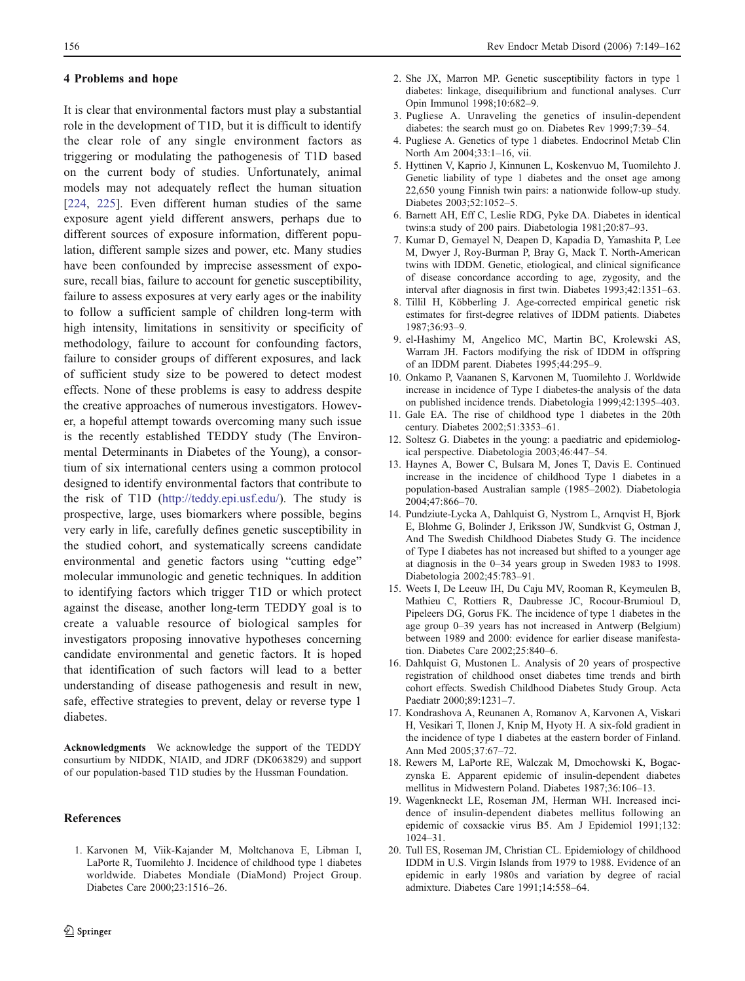#### <span id="page-7-0"></span>4 Problems and hope

It is clear that environmental factors must play a substantial role in the development of T1D, but it is difficult to identify the clear role of any single environment factors as triggering or modulating the pathogenesis of T1D based on the current body of studies. Unfortunately, animal models may not adequately reflect the human situation [\[224](#page-13-0), [225\]](#page-13-0). Even different human studies of the same exposure agent yield different answers, perhaps due to different sources of exposure information, different population, different sample sizes and power, etc. Many studies have been confounded by imprecise assessment of exposure, recall bias, failure to account for genetic susceptibility, failure to assess exposures at very early ages or the inability to follow a sufficient sample of children long-term with high intensity, limitations in sensitivity or specificity of methodology, failure to account for confounding factors, failure to consider groups of different exposures, and lack of sufficient study size to be powered to detect modest effects. None of these problems is easy to address despite the creative approaches of numerous investigators. However, a hopeful attempt towards overcoming many such issue is the recently established TEDDY study (The Environmental Determinants in Diabetes of the Young), a consortium of six international centers using a common protocol designed to identify environmental factors that contribute to the risk of T1D (<http://teddy.epi.usf.edu/>). The study is prospective, large, uses biomarkers where possible, begins very early in life, carefully defines genetic susceptibility in the studied cohort, and systematically screens candidate environmental and genetic factors using "cutting edge" molecular immunologic and genetic techniques. In addition to identifying factors which trigger T1D or which protect against the disease, another long-term TEDDY goal is to create a valuable resource of biological samples for investigators proposing innovative hypotheses concerning candidate environmental and genetic factors. It is hoped that identification of such factors will lead to a better understanding of disease pathogenesis and result in new, safe, effective strategies to prevent, delay or reverse type 1 diabetes.

Acknowledgments We acknowledge the support of the TEDDY consurtium by NIDDK, NIAID, and JDRF (DK063829) and support of our population-based T1D studies by the Hussman Foundation.

### References

1. Karvonen M, Viik-Kajander M, Moltchanova E, Libman I, LaPorte R, Tuomilehto J. Incidence of childhood type 1 diabetes worldwide. Diabetes Mondiale (DiaMond) Project Group. Diabetes Care 2000;23:1516–26.

- 2. She JX, Marron MP. Genetic susceptibility factors in type 1 diabetes: linkage, disequilibrium and functional analyses. Curr Opin Immunol 1998;10:682–9.
- 3. Pugliese A. Unraveling the genetics of insulin-dependent diabetes: the search must go on. Diabetes Rev 1999;7:39–54.
- 4. Pugliese A. Genetics of type 1 diabetes. Endocrinol Metab Clin North Am 2004;33:1–16, vii.
- 5. Hyttinen V, Kaprio J, Kinnunen L, Koskenvuo M, Tuomilehto J. Genetic liability of type 1 diabetes and the onset age among 22,650 young Finnish twin pairs: a nationwide follow-up study. Diabetes 2003;52:1052–5.
- 6. Barnett AH, Eff C, Leslie RDG, Pyke DA. Diabetes in identical twins:a study of 200 pairs. Diabetologia 1981;20:87–93.
- 7. Kumar D, Gemayel N, Deapen D, Kapadia D, Yamashita P, Lee M, Dwyer J, Roy-Burman P, Bray G, Mack T. North-American twins with IDDM. Genetic, etiological, and clinical significance of disease concordance according to age, zygosity, and the interval after diagnosis in first twin. Diabetes 1993;42:1351–63.
- 8. Tillil H, Köbberling J. Age-corrected empirical genetic risk estimates for first-degree relatives of IDDM patients. Diabetes 1987;36:93–9.
- 9. el-Hashimy M, Angelico MC, Martin BC, Krolewski AS, Warram JH. Factors modifying the risk of IDDM in offspring of an IDDM parent. Diabetes 1995;44:295–9.
- 10. Onkamo P, Vaananen S, Karvonen M, Tuomilehto J. Worldwide increase in incidence of Type I diabetes-the analysis of the data on published incidence trends. Diabetologia 1999;42:1395–403.
- 11. Gale EA. The rise of childhood type 1 diabetes in the 20th century. Diabetes 2002;51:3353–61.
- 12. Soltesz G. Diabetes in the young: a paediatric and epidemiological perspective. Diabetologia 2003;46:447–54.
- 13. Haynes A, Bower C, Bulsara M, Jones T, Davis E. Continued increase in the incidence of childhood Type 1 diabetes in a population-based Australian sample (1985–2002). Diabetologia 2004;47:866–70.
- 14. Pundziute-Lycka A, Dahlquist G, Nystrom L, Arnqvist H, Bjork E, Blohme G, Bolinder J, Eriksson JW, Sundkvist G, Ostman J, And The Swedish Childhood Diabetes Study G. The incidence of Type I diabetes has not increased but shifted to a younger age at diagnosis in the 0–34 years group in Sweden 1983 to 1998. Diabetologia 2002;45:783–91.
- 15. Weets I, De Leeuw IH, Du Caju MV, Rooman R, Keymeulen B, Mathieu C, Rottiers R, Daubresse JC, Rocour-Brumioul D, Pipeleers DG, Gorus FK. The incidence of type 1 diabetes in the age group 0–39 years has not increased in Antwerp (Belgium) between 1989 and 2000: evidence for earlier disease manifestation. Diabetes Care 2002;25:840–6.
- 16. Dahlquist G, Mustonen L. Analysis of 20 years of prospective registration of childhood onset diabetes time trends and birth cohort effects. Swedish Childhood Diabetes Study Group. Acta Paediatr 2000;89:1231–7.
- 17. Kondrashova A, Reunanen A, Romanov A, Karvonen A, Viskari H, Vesikari T, Ilonen J, Knip M, Hyoty H. A six-fold gradient in the incidence of type 1 diabetes at the eastern border of Finland. Ann Med 2005;37:67–72.
- 18. Rewers M, LaPorte RE, Walczak M, Dmochowski K, Bogaczynska E. Apparent epidemic of insulin-dependent diabetes mellitus in Midwestern Poland. Diabetes 1987;36:106–13.
- 19. Wagenkneckt LE, Roseman JM, Herman WH. Increased incidence of insulin-dependent diabetes mellitus following an epidemic of coxsackie virus B5. Am J Epidemiol 1991;132: 1024–31.
- 20. Tull ES, Roseman JM, Christian CL. Epidemiology of childhood IDDM in U.S. Virgin Islands from 1979 to 1988. Evidence of an epidemic in early 1980s and variation by degree of racial admixture. Diabetes Care 1991;14:558–64.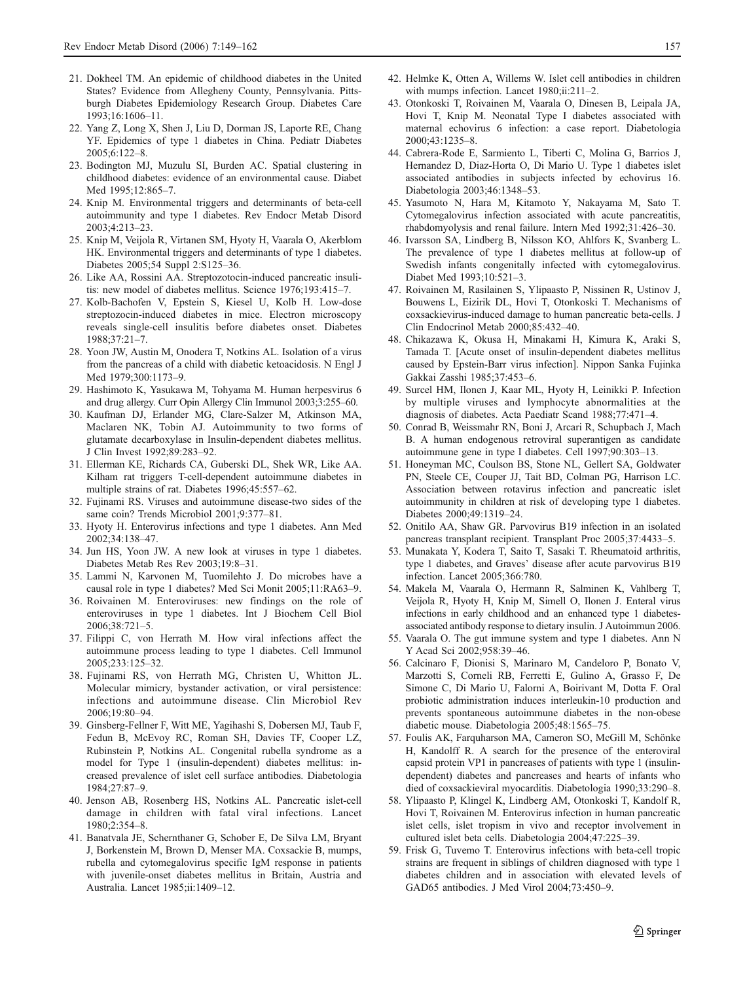- <span id="page-8-0"></span>21. Dokheel TM. An epidemic of childhood diabetes in the United States? Evidence from Allegheny County, Pennsylvania. Pittsburgh Diabetes Epidemiology Research Group. Diabetes Care 1993;16:1606–11.
- 22. Yang Z, Long X, Shen J, Liu D, Dorman JS, Laporte RE, Chang YF. Epidemics of type 1 diabetes in China. Pediatr Diabetes 2005;6:122–8.
- 23. Bodington MJ, Muzulu SI, Burden AC. Spatial clustering in childhood diabetes: evidence of an environmental cause. Diabet Med 1995;12:865–7.
- 24. Knip M. Environmental triggers and determinants of beta-cell autoimmunity and type 1 diabetes. Rev Endocr Metab Disord 2003;4:213–23.
- 25. Knip M, Veijola R, Virtanen SM, Hyoty H, Vaarala O, Akerblom HK. Environmental triggers and determinants of type 1 diabetes. Diabetes 2005;54 Suppl 2:S125–36.
- 26. Like AA, Rossini AA. Streptozotocin-induced pancreatic insulitis: new model of diabetes mellitus. Science 1976;193:415–7.
- 27. Kolb-Bachofen V, Epstein S, Kiesel U, Kolb H. Low-dose streptozocin-induced diabetes in mice. Electron microscopy reveals single-cell insulitis before diabetes onset. Diabetes 1988;37:21–7.
- 28. Yoon JW, Austin M, Onodera T, Notkins AL. Isolation of a virus from the pancreas of a child with diabetic ketoacidosis. N Engl J Med 1979;300:1173–9.
- 29. Hashimoto K, Yasukawa M, Tohyama M. Human herpesvirus 6 and drug allergy. Curr Opin Allergy Clin Immunol 2003;3:255–60.
- 30. Kaufman DJ, Erlander MG, Clare-Salzer M, Atkinson MA, Maclaren NK, Tobin AJ. Autoimmunity to two forms of glutamate decarboxylase in Insulin-dependent diabetes mellitus. J Clin Invest 1992;89:283–92.
- 31. Ellerman KE, Richards CA, Guberski DL, Shek WR, Like AA. Kilham rat triggers T-cell-dependent autoimmune diabetes in multiple strains of rat. Diabetes 1996;45:557–62.
- 32. Fujinami RS. Viruses and autoimmune disease-two sides of the same coin? Trends Microbiol 2001;9:377–81.
- 33. Hyoty H. Enterovirus infections and type 1 diabetes. Ann Med 2002;34:138–47.
- 34. Jun HS, Yoon JW. A new look at viruses in type 1 diabetes. Diabetes Metab Res Rev 2003;19:8–31.
- 35. Lammi N, Karvonen M, Tuomilehto J. Do microbes have a causal role in type 1 diabetes? Med Sci Monit 2005;11:RA63–9.
- 36. Roivainen M. Enteroviruses: new findings on the role of enteroviruses in type 1 diabetes. Int J Biochem Cell Biol 2006;38:721–5.
- 37. Filippi C, von Herrath M. How viral infections affect the autoimmune process leading to type 1 diabetes. Cell Immunol 2005;233:125–32.
- 38. Fujinami RS, von Herrath MG, Christen U, Whitton JL. Molecular mimicry, bystander activation, or viral persistence: infections and autoimmune disease. Clin Microbiol Rev 2006;19:80–94.
- 39. Ginsberg-Fellner F, Witt ME, Yagihashi S, Dobersen MJ, Taub F, Fedun B, McEvoy RC, Roman SH, Davies TF, Cooper LZ, Rubinstein P, Notkins AL. Congenital rubella syndrome as a model for Type 1 (insulin-dependent) diabetes mellitus: increased prevalence of islet cell surface antibodies. Diabetologia 1984;27:87–9.
- 40. Jenson AB, Rosenberg HS, Notkins AL. Pancreatic islet-cell damage in children with fatal viral infections. Lancet 1980;2:354–8.
- 41. Banatvala JE, Schernthaner G, Schober E, De Silva LM, Bryant J, Borkenstein M, Brown D, Menser MA. Coxsackie B, mumps, rubella and cytomegalovirus specific IgM response in patients with juvenile-onset diabetes mellitus in Britain, Austria and Australia. Lancet 1985;ii:1409–12.
- 42. Helmke K, Otten A, Willems W. Islet cell antibodies in children with mumps infection. Lancet 1980;ii:211-2.
- 43. Otonkoski T, Roivainen M, Vaarala O, Dinesen B, Leipala JA, Hovi T, Knip M. Neonatal Type I diabetes associated with maternal echovirus 6 infection: a case report. Diabetologia 2000;43:1235–8.
- 44. Cabrera-Rode E, Sarmiento L, Tiberti C, Molina G, Barrios J, Hernandez D, Diaz-Horta O, Di Mario U. Type 1 diabetes islet associated antibodies in subjects infected by echovirus 16. Diabetologia 2003;46:1348–53.
- 45. Yasumoto N, Hara M, Kitamoto Y, Nakayama M, Sato T. Cytomegalovirus infection associated with acute pancreatitis, rhabdomyolysis and renal failure. Intern Med 1992;31:426–30.
- 46. Ivarsson SA, Lindberg B, Nilsson KO, Ahlfors K, Svanberg L. The prevalence of type 1 diabetes mellitus at follow-up of Swedish infants congenitally infected with cytomegalovirus. Diabet Med 1993;10:521–3.
- 47. Roivainen M, Rasilainen S, Ylipaasto P, Nissinen R, Ustinov J, Bouwens L, Eizirik DL, Hovi T, Otonkoski T. Mechanisms of coxsackievirus-induced damage to human pancreatic beta-cells. J Clin Endocrinol Metab 2000;85:432–40.
- 48. Chikazawa K, Okusa H, Minakami H, Kimura K, Araki S, Tamada T. [Acute onset of insulin-dependent diabetes mellitus caused by Epstein-Barr virus infection]. Nippon Sanka Fujinka Gakkai Zasshi 1985;37:453–6.
- 49. Surcel HM, Ilonen J, Kaar ML, Hyoty H, Leinikki P. Infection by multiple viruses and lymphocyte abnormalities at the diagnosis of diabetes. Acta Paediatr Scand 1988;77:471–4.
- 50. Conrad B, Weissmahr RN, Boni J, Arcari R, Schupbach J, Mach B. A human endogenous retroviral superantigen as candidate autoimmune gene in type I diabetes. Cell 1997;90:303–13.
- 51. Honeyman MC, Coulson BS, Stone NL, Gellert SA, Goldwater PN, Steele CE, Couper JJ, Tait BD, Colman PG, Harrison LC. Association between rotavirus infection and pancreatic islet autoimmunity in children at risk of developing type 1 diabetes. Diabetes 2000;49:1319–24.
- 52. Onitilo AA, Shaw GR. Parvovirus B19 infection in an isolated pancreas transplant recipient. Transplant Proc 2005;37:4433–5.
- 53. Munakata Y, Kodera T, Saito T, Sasaki T. Rheumatoid arthritis, type 1 diabetes, and Graves' disease after acute parvovirus B19 infection. Lancet 2005;366:780.
- 54. Makela M, Vaarala O, Hermann R, Salminen K, Vahlberg T, Veijola R, Hyoty H, Knip M, Simell O, Ilonen J. Enteral virus infections in early childhood and an enhanced type 1 diabetesassociated antibody response to dietary insulin. J Autoimmun 2006.
- 55. Vaarala O. The gut immune system and type 1 diabetes. Ann N Y Acad Sci 2002;958:39–46.
- 56. Calcinaro F, Dionisi S, Marinaro M, Candeloro P, Bonato V, Marzotti S, Corneli RB, Ferretti E, Gulino A, Grasso F, De Simone C, Di Mario U, Falorni A, Boirivant M, Dotta F. Oral probiotic administration induces interleukin-10 production and prevents spontaneous autoimmune diabetes in the non-obese diabetic mouse. Diabetologia 2005;48:1565–75.
- 57. Foulis AK, Farquharson MA, Cameron SO, McGill M, Schönke H, Kandolff R. A search for the presence of the enteroviral capsid protein VP1 in pancreases of patients with type 1 (insulindependent) diabetes and pancreases and hearts of infants who died of coxsackieviral myocarditis. Diabetologia 1990;33:290–8.
- 58. Ylipaasto P, Klingel K, Lindberg AM, Otonkoski T, Kandolf R, Hovi T, Roivainen M. Enterovirus infection in human pancreatic islet cells, islet tropism in vivo and receptor involvement in cultured islet beta cells. Diabetologia 2004;47:225–39.
- 59. Frisk G, Tuvemo T. Enterovirus infections with beta-cell tropic strains are frequent in siblings of children diagnosed with type 1 diabetes children and in association with elevated levels of GAD65 antibodies. J Med Virol 2004;73:450–9.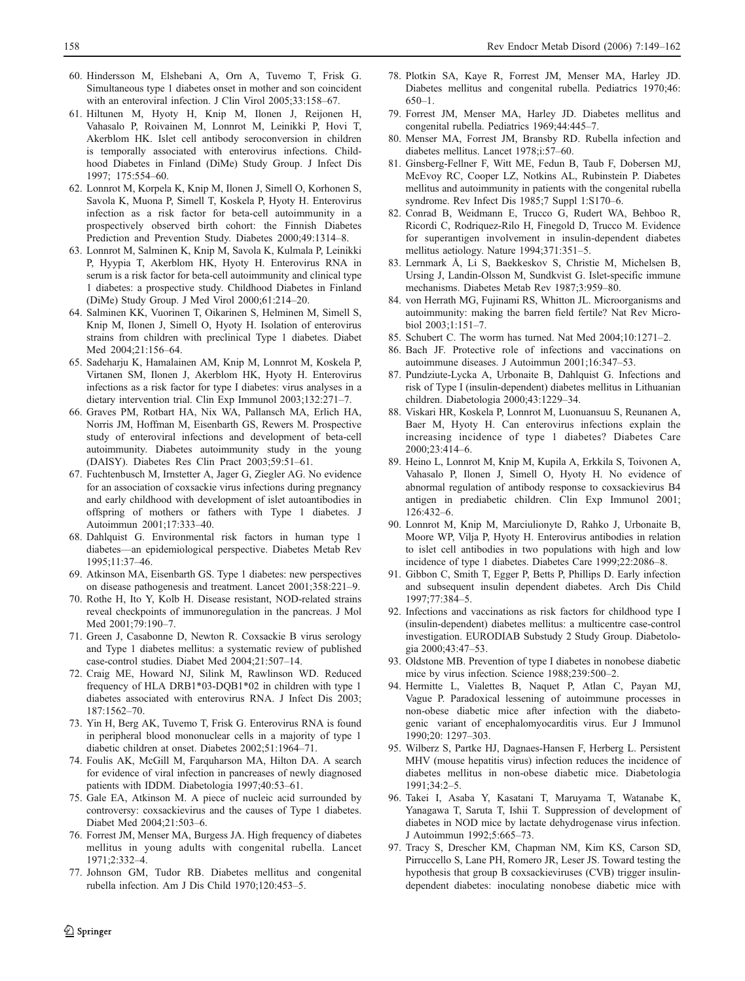- <span id="page-9-0"></span>60. Hindersson M, Elshebani A, Orn A, Tuvemo T, Frisk G. Simultaneous type 1 diabetes onset in mother and son coincident with an enteroviral infection. J Clin Virol 2005;33:158–67.
- 61. Hiltunen M, Hyoty H, Knip M, Ilonen J, Reijonen H, Vahasalo P, Roivainen M, Lonnrot M, Leinikki P, Hovi T, Akerblom HK. Islet cell antibody seroconversion in children is temporally associated with enterovirus infections. Childhood Diabetes in Finland (DiMe) Study Group. J Infect Dis 1997; 175:554–60.
- 62. Lonnrot M, Korpela K, Knip M, Ilonen J, Simell O, Korhonen S, Savola K, Muona P, Simell T, Koskela P, Hyoty H. Enterovirus infection as a risk factor for beta-cell autoimmunity in a prospectively observed birth cohort: the Finnish Diabetes Prediction and Prevention Study. Diabetes 2000;49:1314–8.
- 63. Lonnrot M, Salminen K, Knip M, Savola K, Kulmala P, Leinikki P, Hyypia T, Akerblom HK, Hyoty H. Enterovirus RNA in serum is a risk factor for beta-cell autoimmunity and clinical type 1 diabetes: a prospective study. Childhood Diabetes in Finland (DiMe) Study Group. J Med Virol 2000;61:214–20.
- 64. Salminen KK, Vuorinen T, Oikarinen S, Helminen M, Simell S, Knip M, Ilonen J, Simell O, Hyoty H. Isolation of enterovirus strains from children with preclinical Type 1 diabetes. Diabet Med 2004;21:156–64.
- 65. Sadeharju K, Hamalainen AM, Knip M, Lonnrot M, Koskela P, Virtanen SM, Ilonen J, Akerblom HK, Hyoty H. Enterovirus infections as a risk factor for type I diabetes: virus analyses in a dietary intervention trial. Clin Exp Immunol 2003;132:271–7.
- 66. Graves PM, Rotbart HA, Nix WA, Pallansch MA, Erlich HA, Norris JM, Hoffman M, Eisenbarth GS, Rewers M. Prospective study of enteroviral infections and development of beta-cell autoimmunity. Diabetes autoimmunity study in the young (DAISY). Diabetes Res Clin Pract 2003;59:51–61.
- 67. Fuchtenbusch M, Irnstetter A, Jager G, Ziegler AG. No evidence for an association of coxsackie virus infections during pregnancy and early childhood with development of islet autoantibodies in offspring of mothers or fathers with Type 1 diabetes. J Autoimmun 2001;17:333–40.
- 68. Dahlquist G. Environmental risk factors in human type 1 diabetes—an epidemiological perspective. Diabetes Metab Rev 1995;11:37–46.
- 69. Atkinson MA, Eisenbarth GS. Type 1 diabetes: new perspectives on disease pathogenesis and treatment. Lancet 2001;358:221–9.
- 70. Rothe H, Ito Y, Kolb H. Disease resistant, NOD-related strains reveal checkpoints of immunoregulation in the pancreas. J Mol Med 2001;79:190–7.
- 71. Green J, Casabonne D, Newton R. Coxsackie B virus serology and Type 1 diabetes mellitus: a systematic review of published case-control studies. Diabet Med 2004;21:507–14.
- 72. Craig ME, Howard NJ, Silink M, Rawlinson WD. Reduced frequency of HLA DRB1\*03-DQB1\*02 in children with type 1 diabetes associated with enterovirus RNA. J Infect Dis 2003; 187:1562–70.
- 73. Yin H, Berg AK, Tuvemo T, Frisk G. Enterovirus RNA is found in peripheral blood mononuclear cells in a majority of type 1 diabetic children at onset. Diabetes 2002;51:1964–71.
- 74. Foulis AK, McGill M, Farquharson MA, Hilton DA. A search for evidence of viral infection in pancreases of newly diagnosed patients with IDDM. Diabetologia 1997;40:53–61.
- 75. Gale EA, Atkinson M. A piece of nucleic acid surrounded by controversy: coxsackievirus and the causes of Type 1 diabetes. Diabet Med 2004;21:503–6.
- 76. Forrest JM, Menser MA, Burgess JA. High frequency of diabetes mellitus in young adults with congenital rubella. Lancet 1971;2:332–4.
- 77. Johnson GM, Tudor RB. Diabetes mellitus and congenital rubella infection. Am J Dis Child 1970;120:453–5.
- 78. Plotkin SA, Kaye R, Forrest JM, Menser MA, Harley JD. Diabetes mellitus and congenital rubella. Pediatrics 1970;46:  $650-1$ .
- 79. Forrest JM, Menser MA, Harley JD. Diabetes mellitus and congenital rubella. Pediatrics 1969;44:445–7.
- 80. Menser MA, Forrest JM, Bransby RD. Rubella infection and diabetes mellitus. Lancet 1978;i:57–60.
- 81. Ginsberg-Fellner F, Witt ME, Fedun B, Taub F, Dobersen MJ, McEvoy RC, Cooper LZ, Notkins AL, Rubinstein P. Diabetes mellitus and autoimmunity in patients with the congenital rubella syndrome. Rev Infect Dis 1985;7 Suppl 1:S170–6.
- 82. Conrad B, Weidmann E, Trucco G, Rudert WA, Behboo R, Ricordi C, Rodriquez-Rilo H, Finegold D, Trucco M. Evidence for superantigen involvement in insulin-dependent diabetes mellitus aetiology. Nature 1994;371:351–5.
- 83. Lernmark Å, Li S, Baekkeskov S, Christie M, Michelsen B, Ursing J, Landin-Olsson M, Sundkvist G. Islet-specific immune mechanisms. Diabetes Metab Rev 1987;3:959–80.
- 84. von Herrath MG, Fujinami RS, Whitton JL. Microorganisms and autoimmunity: making the barren field fertile? Nat Rev Microbiol 2003;1:151–7.
- 85. Schubert C. The worm has turned. Nat Med 2004;10:1271–2.
- 86. Bach JF. Protective role of infections and vaccinations on autoimmune diseases. J Autoimmun 2001;16:347–53.
- 87. Pundziute-Lycka A, Urbonaite B, Dahlquist G. Infections and risk of Type I (insulin-dependent) diabetes mellitus in Lithuanian children. Diabetologia 2000;43:1229–34.
- 88. Viskari HR, Koskela P, Lonnrot M, Luonuansuu S, Reunanen A, Baer M, Hyoty H. Can enterovirus infections explain the increasing incidence of type 1 diabetes? Diabetes Care 2000;23:414–6.
- 89. Heino L, Lonnrot M, Knip M, Kupila A, Erkkila S, Toivonen A, Vahasalo P, Ilonen J, Simell O, Hyoty H. No evidence of abnormal regulation of antibody response to coxsackievirus B4 antigen in prediabetic children. Clin Exp Immunol 2001; 126:432–6.
- 90. Lonnrot M, Knip M, Marciulionyte D, Rahko J, Urbonaite B, Moore WP, Vilja P, Hyoty H. Enterovirus antibodies in relation to islet cell antibodies in two populations with high and low incidence of type 1 diabetes. Diabetes Care 1999;22:2086–8.
- 91. Gibbon C, Smith T, Egger P, Betts P, Phillips D. Early infection and subsequent insulin dependent diabetes. Arch Dis Child 1997;77:384–5.
- 92. Infections and vaccinations as risk factors for childhood type I (insulin-dependent) diabetes mellitus: a multicentre case-control investigation. EURODIAB Substudy 2 Study Group. Diabetologia 2000;43:47–53.
- 93. Oldstone MB. Prevention of type I diabetes in nonobese diabetic mice by virus infection. Science 1988;239:500–2.
- 94. Hermitte L, Vialettes B, Naquet P, Atlan C, Payan MJ, Vague P. Paradoxical lessening of autoimmune processes in non-obese diabetic mice after infection with the diabetogenic variant of encephalomyocarditis virus. Eur J Immunol 1990;20: 1297–303.
- 95. Wilberz S, Partke HJ, Dagnaes-Hansen F, Herberg L. Persistent MHV (mouse hepatitis virus) infection reduces the incidence of diabetes mellitus in non-obese diabetic mice. Diabetologia 1991;34:2–5.
- 96. Takei I, Asaba Y, Kasatani T, Maruyama T, Watanabe K, Yanagawa T, Saruta T, Ishii T. Suppression of development of diabetes in NOD mice by lactate dehydrogenase virus infection. J Autoimmun 1992;5:665–73.
- 97. Tracy S, Drescher KM, Chapman NM, Kim KS, Carson SD, Pirruccello S, Lane PH, Romero JR, Leser JS. Toward testing the hypothesis that group B coxsackieviruses (CVB) trigger insulindependent diabetes: inoculating nonobese diabetic mice with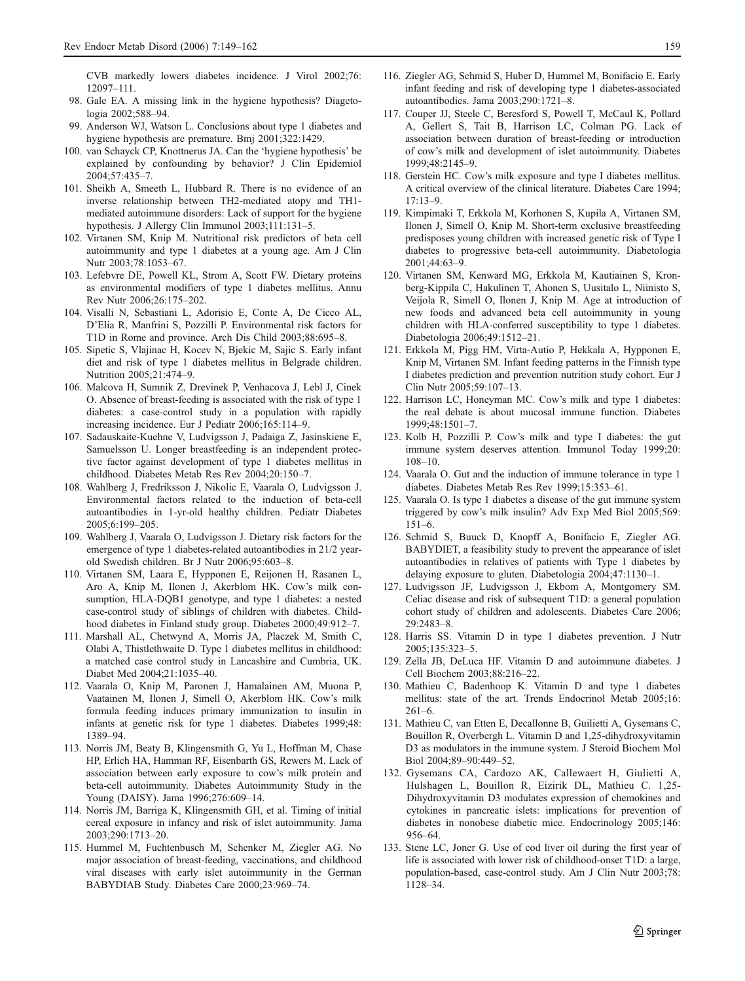<span id="page-10-0"></span>CVB markedly lowers diabetes incidence. J Virol 2002;76: 12097–111.

- 98. Gale EA. A missing link in the hygiene hypothesis? Diagetologia 2002;588–94.
- 99. Anderson WJ, Watson L. Conclusions about type 1 diabetes and hygiene hypothesis are premature. Bmj 2001;322:1429.
- 100. van Schayck CP, Knottnerus JA. Can the 'hygiene hypothesis' be explained by confounding by behavior? J Clin Epidemiol 2004;57:435–7.
- 101. Sheikh A, Smeeth L, Hubbard R. There is no evidence of an inverse relationship between TH2-mediated atopy and TH1 mediated autoimmune disorders: Lack of support for the hygiene hypothesis. J Allergy Clin Immunol 2003;111:131–5.
- 102. Virtanen SM, Knip M. Nutritional risk predictors of beta cell autoimmunity and type 1 diabetes at a young age. Am J Clin Nutr 2003;78:1053–67.
- 103. Lefebvre DE, Powell KL, Strom A, Scott FW. Dietary proteins as environmental modifiers of type 1 diabetes mellitus. Annu Rev Nutr 2006;26:175–202.
- 104. Visalli N, Sebastiani L, Adorisio E, Conte A, De Cicco AL, D'Elia R, Manfrini S, Pozzilli P. Environmental risk factors for T1D in Rome and province. Arch Dis Child 2003;88:695–8.
- 105. Sipetic S, Vlajinac H, Kocev N, Bjekic M, Sajic S. Early infant diet and risk of type 1 diabetes mellitus in Belgrade children. Nutrition 2005;21:474–9.
- 106. Malcova H, Sumnik Z, Drevinek P, Venhacova J, Lebl J, Cinek O. Absence of breast-feeding is associated with the risk of type 1 diabetes: a case-control study in a population with rapidly increasing incidence. Eur J Pediatr 2006;165:114–9.
- 107. Sadauskaite-Kuehne V, Ludvigsson J, Padaiga Z, Jasinskiene E, Samuelsson U. Longer breastfeeding is an independent protective factor against development of type 1 diabetes mellitus in childhood. Diabetes Metab Res Rev 2004;20:150–7.
- 108. Wahlberg J, Fredriksson J, Nikolic E, Vaarala O, Ludvigsson J. Environmental factors related to the induction of beta-cell autoantibodies in 1-yr-old healthy children. Pediatr Diabetes 2005;6:199–205.
- 109. Wahlberg J, Vaarala O, Ludvigsson J. Dietary risk factors for the emergence of type 1 diabetes-related autoantibodies in 21/2 yearold Swedish children. Br J Nutr 2006;95:603–8.
- 110. Virtanen SM, Laara E, Hypponen E, Reijonen H, Rasanen L, Aro A, Knip M, Ilonen J, Akerblom HK. Cow's milk consumption, HLA-DQB1 genotype, and type 1 diabetes: a nested case-control study of siblings of children with diabetes. Childhood diabetes in Finland study group. Diabetes 2000;49:912-7.
- 111. Marshall AL, Chetwynd A, Morris JA, Placzek M, Smith C, Olabi A, Thistlethwaite D. Type 1 diabetes mellitus in childhood: a matched case control study in Lancashire and Cumbria, UK. Diabet Med 2004;21:1035–40.
- 112. Vaarala O, Knip M, Paronen J, Hamalainen AM, Muona P, Vaatainen M, Ilonen J, Simell O, Akerblom HK. Cow's milk formula feeding induces primary immunization to insulin in infants at genetic risk for type 1 diabetes. Diabetes 1999;48: 1389–94.
- 113. Norris JM, Beaty B, Klingensmith G, Yu L, Hoffman M, Chase HP, Erlich HA, Hamman RF, Eisenbarth GS, Rewers M. Lack of association between early exposure to cow's milk protein and beta-cell autoimmunity. Diabetes Autoimmunity Study in the Young (DAISY). Jama 1996;276:609–14.
- 114. Norris JM, Barriga K, Klingensmith GH, et al. Timing of initial cereal exposure in infancy and risk of islet autoimmunity. Jama 2003;290:1713–20.
- 115. Hummel M, Fuchtenbusch M, Schenker M, Ziegler AG. No major association of breast-feeding, vaccinations, and childhood viral diseases with early islet autoimmunity in the German BABYDIAB Study. Diabetes Care 2000;23:969–74.
- 116. Ziegler AG, Schmid S, Huber D, Hummel M, Bonifacio E. Early infant feeding and risk of developing type 1 diabetes-associated autoantibodies. Jama 2003;290:1721–8.
- 117. Couper JJ, Steele C, Beresford S, Powell T, McCaul K, Pollard A, Gellert S, Tait B, Harrison LC, Colman PG. Lack of association between duration of breast-feeding or introduction of cow's milk and development of islet autoimmunity. Diabetes 1999;48:2145–9.
- 118. Gerstein HC. Cow's milk exposure and type I diabetes mellitus. A critical overview of the clinical literature. Diabetes Care 1994; 17:13–9.
- 119. Kimpimaki T, Erkkola M, Korhonen S, Kupila A, Virtanen SM, Ilonen J, Simell O, Knip M. Short-term exclusive breastfeeding predisposes young children with increased genetic risk of Type I diabetes to progressive beta-cell autoimmunity. Diabetologia 2001;44:63–9.
- 120. Virtanen SM, Kenward MG, Erkkola M, Kautiainen S, Kronberg-Kippila C, Hakulinen T, Ahonen S, Uusitalo L, Niinisto S, Veijola R, Simell O, Ilonen J, Knip M. Age at introduction of new foods and advanced beta cell autoimmunity in young children with HLA-conferred susceptibility to type 1 diabetes. Diabetologia 2006;49:1512–21.
- 121. Erkkola M, Pigg HM, Virta-Autio P, Hekkala A, Hypponen E, Knip M, Virtanen SM. Infant feeding patterns in the Finnish type I diabetes prediction and prevention nutrition study cohort. Eur J Clin Nutr 2005;59:107–13.
- 122. Harrison LC, Honeyman MC. Cow's milk and type 1 diabetes: the real debate is about mucosal immune function. Diabetes 1999;48:1501–7.
- 123. Kolb H, Pozzilli P. Cow's milk and type I diabetes: the gut immune system deserves attention. Immunol Today 1999;20: 108–10.
- 124. Vaarala O. Gut and the induction of immune tolerance in type 1 diabetes. Diabetes Metab Res Rev 1999;15:353–61.
- 125. Vaarala O. Is type 1 diabetes a disease of the gut immune system triggered by cow's milk insulin? Adv Exp Med Biol 2005;569: 151–6.
- 126. Schmid S, Buuck D, Knopff A, Bonifacio E, Ziegler AG. BABYDIET, a feasibility study to prevent the appearance of islet autoantibodies in relatives of patients with Type 1 diabetes by delaying exposure to gluten. Diabetologia 2004;47:1130–1.
- 127. Ludvigsson JF, Ludvigsson J, Ekbom A, Montgomery SM. Celiac disease and risk of subsequent T1D: a general population cohort study of children and adolescents. Diabetes Care 2006; 29:2483–8.
- 128. Harris SS. Vitamin D in type 1 diabetes prevention. J Nutr 2005;135:323–5.
- 129. Zella JB, DeLuca HF. Vitamin D and autoimmune diabetes. J Cell Biochem 2003;88:216–22.
- 130. Mathieu C, Badenhoop K. Vitamin D and type 1 diabetes mellitus: state of the art. Trends Endocrinol Metab 2005;16: 261–6.
- 131. Mathieu C, van Etten E, Decallonne B, Guilietti A, Gysemans C, Bouillon R, Overbergh L. Vitamin D and 1,25-dihydroxyvitamin D3 as modulators in the immune system. J Steroid Biochem Mol Biol 2004;89–90:449–52.
- 132. Gysemans CA, Cardozo AK, Callewaert H, Giulietti A, Hulshagen L, Bouillon R, Eizirik DL, Mathieu C. 1,25- Dihydroxyvitamin D3 modulates expression of chemokines and cytokines in pancreatic islets: implications for prevention of diabetes in nonobese diabetic mice. Endocrinology 2005;146: 956–64.
- 133. Stene LC, Joner G. Use of cod liver oil during the first year of life is associated with lower risk of childhood-onset T1D: a large, population-based, case-control study. Am J Clin Nutr 2003;78: 1128–34.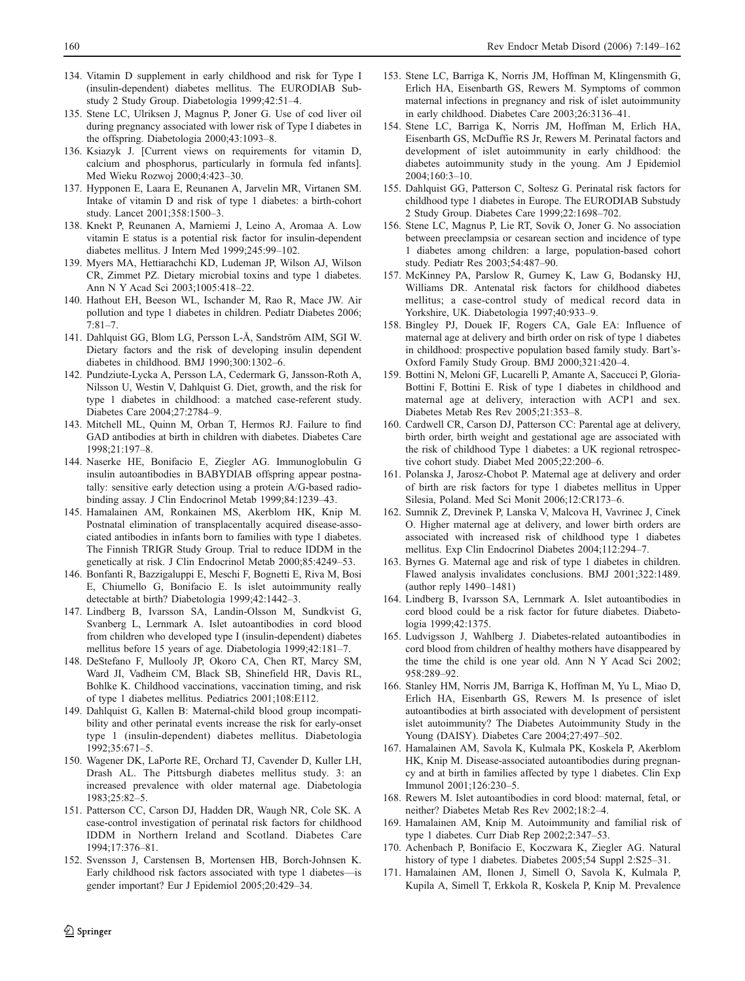- <span id="page-11-0"></span>134. Vitamin D supplement in early childhood and risk for Type I (insulin-dependent) diabetes mellitus. The EURODIAB Substudy 2 Study Group. Diabetologia 1999;42:51–4.
- 135. Stene LC, Ulriksen J, Magnus P, Joner G. Use of cod liver oil during pregnancy associated with lower risk of Type I diabetes in the offspring. Diabetologia 2000;43:1093–8.
- 136. Ksiazyk J. [Current views on requirements for vitamin D, calcium and phosphorus, particularly in formula fed infants]. Med Wieku Rozwoj 2000;4:423–30.
- 137. Hypponen E, Laara E, Reunanen A, Jarvelin MR, Virtanen SM. Intake of vitamin D and risk of type 1 diabetes: a birth-cohort study. Lancet 2001;358:1500–3.
- 138. Knekt P, Reunanen A, Marniemi J, Leino A, Aromaa A. Low vitamin E status is a potential risk factor for insulin-dependent diabetes mellitus. J Intern Med 1999;245:99–102.
- 139. Myers MA, Hettiarachchi KD, Ludeman JP, Wilson AJ, Wilson CR, Zimmet PZ. Dietary microbial toxins and type 1 diabetes. Ann N Y Acad Sci 2003;1005:418–22.
- 140. Hathout EH, Beeson WL, Ischander M, Rao R, Mace JW. Air pollution and type 1 diabetes in children. Pediatr Diabetes 2006; 7:81–7.
- 141. Dahlquist GG, Blom LG, Persson L-Å, Sandström AIM, SGI W. Dietary factors and the risk of developing insulin dependent diabetes in childhood. BMJ 1990;300:1302–6.
- 142. Pundziute-Lycka A, Persson LA, Cedermark G, Jansson-Roth A, Nilsson U, Westin V, Dahlquist G. Diet, growth, and the risk for type 1 diabetes in childhood: a matched case-referent study. Diabetes Care 2004;27:2784–9.
- 143. Mitchell ML, Quinn M, Orban T, Hermos RJ. Failure to find GAD antibodies at birth in children with diabetes. Diabetes Care 1998;21:197–8.
- 144. Naserke HE, Bonifacio E, Ziegler AG. Immunoglobulin G insulin autoantibodies in BABYDIAB offspring appear postnatally: sensitive early detection using a protein A/G-based radiobinding assay. J Clin Endocrinol Metab 1999;84:1239–43.
- 145. Hamalainen AM, Ronkainen MS, Akerblom HK, Knip M. Postnatal elimination of transplacentally acquired disease-associated antibodies in infants born to families with type 1 diabetes. The Finnish TRIGR Study Group. Trial to reduce IDDM in the genetically at risk. J Clin Endocrinol Metab 2000;85:4249–53.
- 146. Bonfanti R, Bazzigaluppi E, Meschi F, Bognetti E, Riva M, Bosi E, Chiumello G, Bonifacio E. Is islet autoimmunity really detectable at birth? Diabetologia 1999;42:1442–3.
- 147. Lindberg B, Ivarsson SA, Landin-Olsson M, Sundkvist G, Svanberg L, Lernmark A. Islet autoantibodies in cord blood from children who developed type I (insulin-dependent) diabetes mellitus before 15 years of age. Diabetologia 1999;42:181–7.
- 148. DeStefano F, Mullooly JP, Okoro CA, Chen RT, Marcy SM, Ward JI, Vadheim CM, Black SB, Shinefield HR, Davis RL, Bohlke K. Childhood vaccinations, vaccination timing, and risk of type 1 diabetes mellitus. Pediatrics 2001;108:E112.
- 149. Dahlquist G, Kallen B: Maternal-child blood group incompatibility and other perinatal events increase the risk for early-onset type 1 (insulin-dependent) diabetes mellitus. Diabetologia 1992;35:671–5.
- 150. Wagener DK, LaPorte RE, Orchard TJ, Cavender D, Kuller LH, Drash AL. The Pittsburgh diabetes mellitus study. 3: an increased prevalence with older maternal age. Diabetologia 1983;25:82–5.
- 151. Patterson CC, Carson DJ, Hadden DR, Waugh NR, Cole SK. A case-control investigation of perinatal risk factors for childhood IDDM in Northern Ireland and Scotland. Diabetes Care 1994;17:376–81.
- 152. Svensson J, Carstensen B, Mortensen HB, Borch-Johnsen K. Early childhood risk factors associated with type 1 diabetes—is gender important? Eur J Epidemiol 2005;20:429–34.
- 153. Stene LC, Barriga K, Norris JM, Hoffman M, Klingensmith G, Erlich HA, Eisenbarth GS, Rewers M. Symptoms of common maternal infections in pregnancy and risk of islet autoimmunity in early childhood. Diabetes Care 2003;26:3136–41.
- 154. Stene LC, Barriga K, Norris JM, Hoffman M, Erlich HA, Eisenbarth GS, McDuffie RS Jr, Rewers M. Perinatal factors and development of islet autoimmunity in early childhood: the diabetes autoimmunity study in the young. Am J Epidemiol 2004;160:3–10.
- 155. Dahlquist GG, Patterson C, Soltesz G. Perinatal risk factors for childhood type 1 diabetes in Europe. The EURODIAB Substudy 2 Study Group. Diabetes Care 1999;22:1698–702.
- 156. Stene LC, Magnus P, Lie RT, Sovik O, Joner G. No association between preeclampsia or cesarean section and incidence of type 1 diabetes among children: a large, population-based cohort study. Pediatr Res 2003;54:487–90.
- 157. McKinney PA, Parslow R, Gurney K, Law G, Bodansky HJ, Williams DR. Antenatal risk factors for childhood diabetes mellitus; a case-control study of medical record data in Yorkshire, UK. Diabetologia 1997;40:933–9.
- 158. Bingley PJ, Douek IF, Rogers CA, Gale EA: Influence of maternal age at delivery and birth order on risk of type 1 diabetes in childhood: prospective population based family study. Bart's-Oxford Family Study Group. BMJ 2000;321:420–4.
- 159. Bottini N, Meloni GF, Lucarelli P, Amante A, Saccucci P, Gloria-Bottini F, Bottini E. Risk of type 1 diabetes in childhood and maternal age at delivery, interaction with ACP1 and sex. Diabetes Metab Res Rev 2005;21:353–8.
- 160. Cardwell CR, Carson DJ, Patterson CC: Parental age at delivery, birth order, birth weight and gestational age are associated with the risk of childhood Type 1 diabetes: a UK regional retrospective cohort study. Diabet Med 2005;22:200–6.
- 161. Polanska J, Jarosz-Chobot P. Maternal age at delivery and order of birth are risk factors for type 1 diabetes mellitus in Upper Silesia, Poland. Med Sci Monit 2006;12:CR173–6.
- 162. Sumnik Z, Drevinek P, Lanska V, Malcova H, Vavrinec J, Cinek O. Higher maternal age at delivery, and lower birth orders are associated with increased risk of childhood type 1 diabetes mellitus. Exp Clin Endocrinol Diabetes 2004;112:294–7.
- 163. Byrnes G. Maternal age and risk of type 1 diabetes in children. Flawed analysis invalidates conclusions. BMJ 2001;322:1489. (author reply 1490–1481)
- 164. Lindberg B, Ivarsson SA, Lernmark A. Islet autoantibodies in cord blood could be a risk factor for future diabetes. Diabetologia 1999;42:1375.
- 165. Ludvigsson J, Wahlberg J. Diabetes-related autoantibodies in cord blood from children of healthy mothers have disappeared by the time the child is one year old. Ann N Y Acad Sci 2002; 958:289–92.
- 166. Stanley HM, Norris JM, Barriga K, Hoffman M, Yu L, Miao D, Erlich HA, Eisenbarth GS, Rewers M. Is presence of islet autoantibodies at birth associated with development of persistent islet autoimmunity? The Diabetes Autoimmunity Study in the Young (DAISY). Diabetes Care 2004;27:497–502.
- 167. Hamalainen AM, Savola K, Kulmala PK, Koskela P, Akerblom HK, Knip M. Disease-associated autoantibodies during pregnancy and at birth in families affected by type 1 diabetes. Clin Exp Immunol 2001;126:230–5.
- 168. Rewers M. Islet autoantibodies in cord blood: maternal, fetal, or neither? Diabetes Metab Res Rev 2002;18:2–4.
- 169. Hamalainen AM, Knip M. Autoimmunity and familial risk of type 1 diabetes. Curr Diab Rep 2002;2:347–53.
- 170. Achenbach P, Bonifacio E, Koczwara K, Ziegler AG. Natural history of type 1 diabetes. Diabetes 2005;54 Suppl 2:S25–31.
- 171. Hamalainen AM, Ilonen J, Simell O, Savola K, Kulmala P, Kupila A, Simell T, Erkkola R, Koskela P, Knip M. Prevalence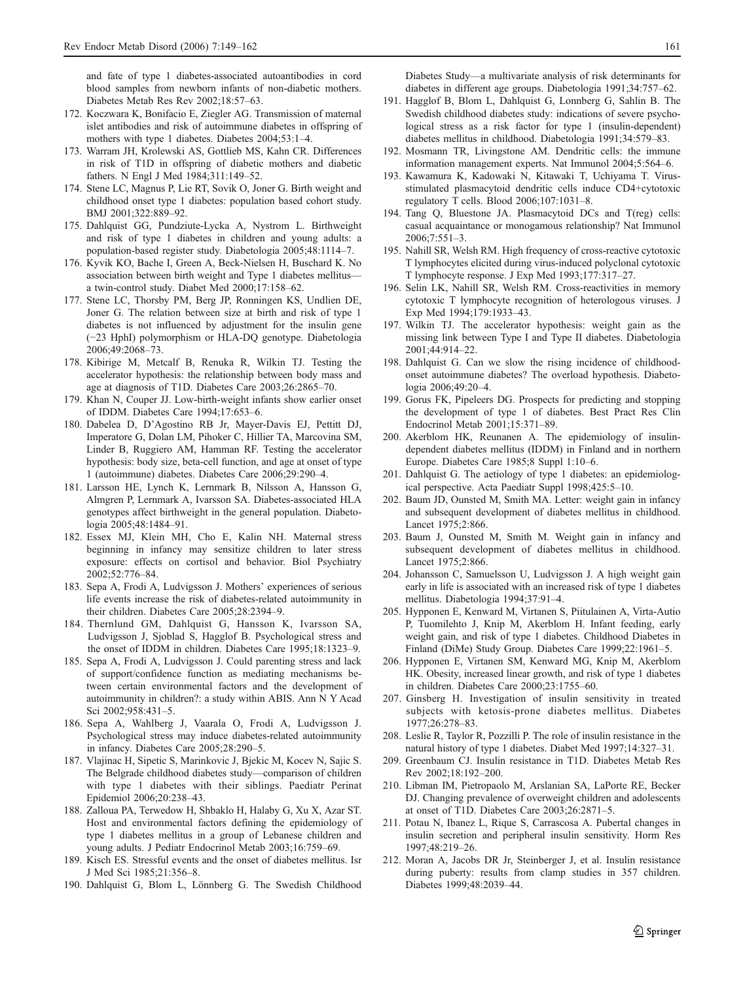<span id="page-12-0"></span>and fate of type 1 diabetes-associated autoantibodies in cord blood samples from newborn infants of non-diabetic mothers. Diabetes Metab Res Rev 2002;18:57–63.

- 172. Koczwara K, Bonifacio E, Ziegler AG. Transmission of maternal islet antibodies and risk of autoimmune diabetes in offspring of mothers with type 1 diabetes. Diabetes 2004;53:1–4.
- 173. Warram JH, Krolewski AS, Gottlieb MS, Kahn CR. Differences in risk of T1D in offspring of diabetic mothers and diabetic fathers. N Engl J Med 1984;311:149–52.
- 174. Stene LC, Magnus P, Lie RT, Sovik O, Joner G. Birth weight and childhood onset type 1 diabetes: population based cohort study. BMJ 2001;322:889–92.
- 175. Dahlquist GG, Pundziute-Lycka A, Nystrom L. Birthweight and risk of type 1 diabetes in children and young adults: a population-based register study. Diabetologia 2005;48:1114–7.
- 176. Kyvik KO, Bache I, Green A, Beck-Nielsen H, Buschard K. No association between birth weight and Type 1 diabetes mellitus a twin-control study. Diabet Med 2000;17:158–62.
- 177. Stene LC, Thorsby PM, Berg JP, Ronningen KS, Undlien DE, Joner G. The relation between size at birth and risk of type 1 diabetes is not influenced by adjustment for the insulin gene (−23 HphI) polymorphism or HLA-DQ genotype. Diabetologia 2006;49:2068–73.
- 178. Kibirige M, Metcalf B, Renuka R, Wilkin TJ. Testing the accelerator hypothesis: the relationship between body mass and age at diagnosis of T1D. Diabetes Care 2003;26:2865–70.
- 179. Khan N, Couper JJ. Low-birth-weight infants show earlier onset of IDDM. Diabetes Care 1994;17:653–6.
- 180. Dabelea D, D'Agostino RB Jr, Mayer-Davis EJ, Pettitt DJ, Imperatore G, Dolan LM, Pihoker C, Hillier TA, Marcovina SM, Linder B, Ruggiero AM, Hamman RF. Testing the accelerator hypothesis: body size, beta-cell function, and age at onset of type 1 (autoimmune) diabetes. Diabetes Care 2006;29:290–4.
- 181. Larsson HE, Lynch K, Lernmark B, Nilsson A, Hansson G, Almgren P, Lernmark A, Ivarsson SA. Diabetes-associated HLA genotypes affect birthweight in the general population. Diabetologia 2005;48:1484–91.
- 182. Essex MJ, Klein MH, Cho E, Kalin NH. Maternal stress beginning in infancy may sensitize children to later stress exposure: effects on cortisol and behavior. Biol Psychiatry 2002;52:776–84.
- 183. Sepa A, Frodi A, Ludvigsson J. Mothers' experiences of serious life events increase the risk of diabetes-related autoimmunity in their children. Diabetes Care 2005;28:2394–9.
- 184. Thernlund GM, Dahlquist G, Hansson K, Ivarsson SA, Ludvigsson J, Sjoblad S, Hagglof B. Psychological stress and the onset of IDDM in children. Diabetes Care 1995;18:1323–9.
- 185. Sepa A, Frodi A, Ludvigsson J. Could parenting stress and lack of support/confidence function as mediating mechanisms between certain environmental factors and the development of autoimmunity in children?: a study within ABIS. Ann N Y Acad Sci 2002;958:431–5.
- 186. Sepa A, Wahlberg J, Vaarala O, Frodi A, Ludvigsson J. Psychological stress may induce diabetes-related autoimmunity in infancy. Diabetes Care 2005;28:290–5.
- 187. Vlajinac H, Sipetic S, Marinkovic J, Bjekic M, Kocev N, Sajic S. The Belgrade childhood diabetes study—comparison of children with type 1 diabetes with their siblings. Paediatr Perinat Epidemiol 2006;20:238–43.
- 188. Zalloua PA, Terwedow H, Shbaklo H, Halaby G, Xu X, Azar ST. Host and environmental factors defining the epidemiology of type 1 diabetes mellitus in a group of Lebanese children and young adults. J Pediatr Endocrinol Metab 2003;16:759–69.
- 189. Kisch ES. Stressful events and the onset of diabetes mellitus. Isr J Med Sci 1985;21:356–8.
- 190. Dahlquist G, Blom L, Lönnberg G. The Swedish Childhood

Diabetes Study—a multivariate analysis of risk determinants for diabetes in different age groups. Diabetologia 1991;34:757–62.

- 191. Hagglof B, Blom L, Dahlquist G, Lonnberg G, Sahlin B. The Swedish childhood diabetes study: indications of severe psychological stress as a risk factor for type 1 (insulin-dependent) diabetes mellitus in childhood. Diabetologia 1991;34:579–83.
- 192. Mosmann TR, Livingstone AM. Dendritic cells: the immune information management experts. Nat Immunol 2004;5:564–6.
- 193. Kawamura K, Kadowaki N, Kitawaki T, Uchiyama T. Virusstimulated plasmacytoid dendritic cells induce CD4+cytotoxic regulatory T cells. Blood 2006;107:1031–8.
- 194. Tang Q, Bluestone JA. Plasmacytoid DCs and T(reg) cells: casual acquaintance or monogamous relationship? Nat Immunol 2006;7:551–3.
- 195. Nahill SR, Welsh RM. High frequency of cross-reactive cytotoxic T lymphocytes elicited during virus-induced polyclonal cytotoxic T lymphocyte response. J Exp Med 1993;177:317–27.
- 196. Selin LK, Nahill SR, Welsh RM. Cross-reactivities in memory cytotoxic T lymphocyte recognition of heterologous viruses. J Exp Med 1994;179:1933–43.
- 197. Wilkin TJ. The accelerator hypothesis: weight gain as the missing link between Type I and Type II diabetes. Diabetologia 2001;44:914–22.
- 198. Dahlquist G. Can we slow the rising incidence of childhoodonset autoimmune diabetes? The overload hypothesis. Diabetologia 2006;49:20–4.
- 199. Gorus FK, Pipeleers DG. Prospects for predicting and stopping the development of type 1 of diabetes. Best Pract Res Clin Endocrinol Metab 2001;15:371–89.
- 200. Akerblom HK, Reunanen A. The epidemiology of insulindependent diabetes mellitus (IDDM) in Finland and in northern Europe. Diabetes Care 1985;8 Suppl 1:10–6.
- 201. Dahlquist G. The aetiology of type 1 diabetes: an epidemiological perspective. Acta Paediatr Suppl 1998;425:5–10.
- 202. Baum JD, Ounsted M, Smith MA. Letter: weight gain in infancy and subsequent development of diabetes mellitus in childhood. Lancet 1975;2:866.
- 203. Baum J, Ounsted M, Smith M. Weight gain in infancy and subsequent development of diabetes mellitus in childhood. Lancet 1975;2:866.
- 204. Johansson C, Samuelsson U, Ludvigsson J. A high weight gain early in life is associated with an increased risk of type 1 diabetes mellitus. Diabetologia 1994;37:91–4.
- 205. Hypponen E, Kenward M, Virtanen S, Piitulainen A, Virta-Autio P, Tuomilehto J, Knip M, Akerblom H. Infant feeding, early weight gain, and risk of type 1 diabetes. Childhood Diabetes in Finland (DiMe) Study Group. Diabetes Care 1999;22:1961–5.
- 206. Hypponen E, Virtanen SM, Kenward MG, Knip M, Akerblom HK. Obesity, increased linear growth, and risk of type 1 diabetes in children. Diabetes Care 2000;23:1755–60.
- 207. Ginsberg H. Investigation of insulin sensitivity in treated subjects with ketosis-prone diabetes mellitus. Diabetes 1977;26:278–83.
- 208. Leslie R, Taylor R, Pozzilli P. The role of insulin resistance in the natural history of type 1 diabetes. Diabet Med 1997;14:327–31.
- 209. Greenbaum CJ. Insulin resistance in T1D. Diabetes Metab Res Rev 2002;18:192–200.
- 210. Libman IM, Pietropaolo M, Arslanian SA, LaPorte RE, Becker DJ. Changing prevalence of overweight children and adolescents at onset of T1D. Diabetes Care 2003;26:2871–5.
- 211. Potau N, Ibanez L, Rique S, Carrascosa A. Pubertal changes in insulin secretion and peripheral insulin sensitivity. Horm Res 1997;48:219–26.
- 212. Moran A, Jacobs DR Jr, Steinberger J, et al. Insulin resistance during puberty: results from clamp studies in 357 children. Diabetes 1999;48:2039–44.